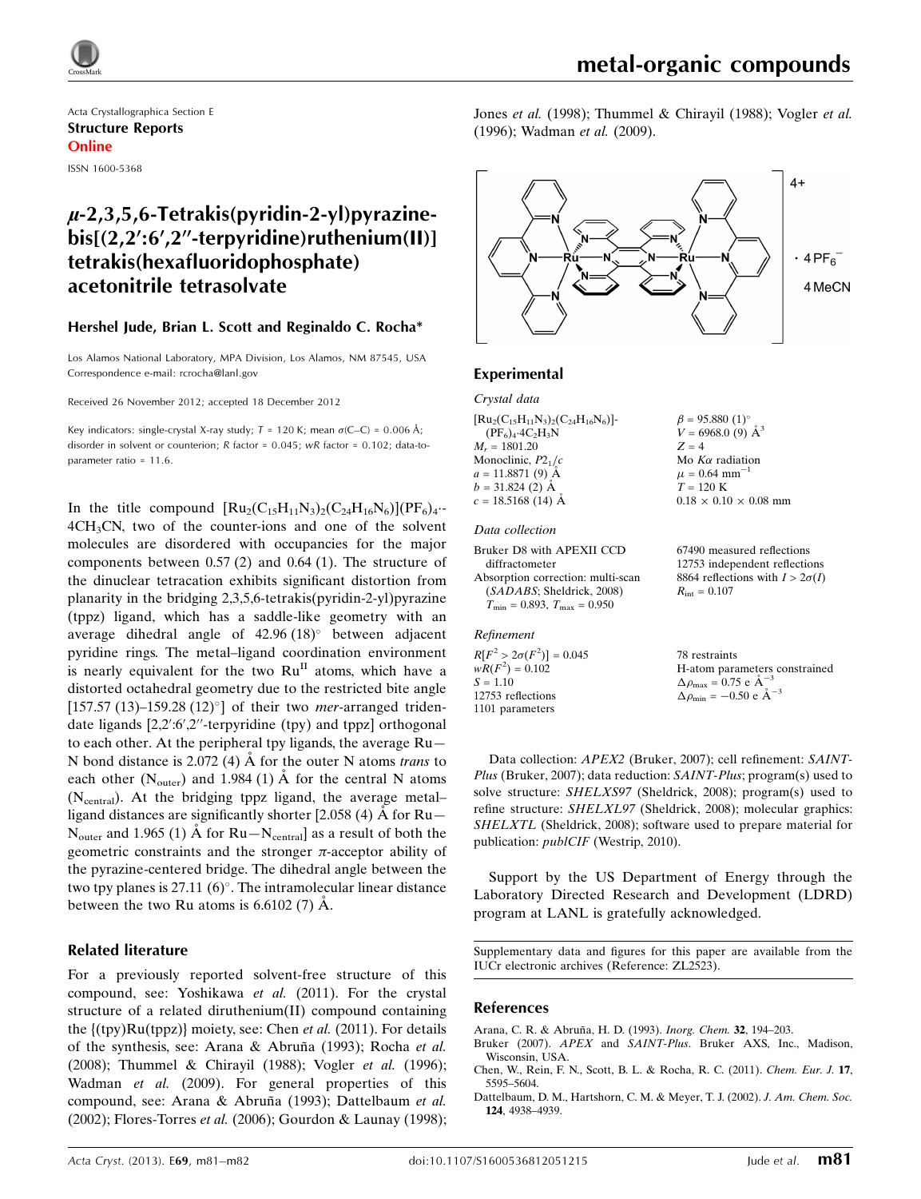

Acta Crystallographica Section E Structure Reports Online

ISSN 1600-5368

## $\mu$ -2,3,5,6-Tetrakis(pyridin-2-yl)pyrazine $bis[(2.2:6'.2''-terovridine)ruthenium(II)]$ tetrakis(hexafluoridophosphate) acetonitrile tetrasolvate

#### Hershel Jude, Brian L. Scott and Reginaldo C. Rocha\*

Los Alamos National Laboratory, MPA Division, Los Alamos, NM 87545, USA Correspondence e-mail: [rcrocha@lanl.gov](https://scripts.iucr.org/cgi-bin/cr.cgi?rm=pdfbb&cnor=zl2523&bbid=BB14)

Received 26 November 2012; accepted 18 December 2012

Key indicators: single-crystal X-ray study;  $T = 120$  K; mean  $\sigma$ (C–C) = 0.006 Å; disorder in solvent or counterion; R factor = 0.045; wR factor = 0.102; data-toparameter ratio = 11.6.

In the title compound  $\left[\text{Ru}_2(\text{C}_{15}\text{H}_{11}\text{N}_3)_2(\text{C}_{24}\text{H}_{16}\text{N}_6)\right](\text{PF}_6)_4$ .  $4CH<sub>3</sub>CN$ , two of the counter-ions and one of the solvent molecules are disordered with occupancies for the major components between 0.57 (2) and 0.64 (1). The structure of the dinuclear tetracation exhibits significant distortion from planarity in the bridging 2,3,5,6-tetrakis(pyridin-2-yl)pyrazine (tppz) ligand, which has a saddle-like geometry with an average dihedral angle of  $42.96 (18)$ <sup>o</sup> between adjacent pyridine rings. The metal–ligand coordination environment is nearly equivalent for the two  $Ru<sup>H</sup>$  atoms, which have a distorted octahedral geometry due to the restricted bite angle [157.57 (13)–159.28 (12) $^{\circ}$ ] of their two *mer*-arranged tridendate ligands [2,2':6',2"-terpyridine (tpy) and tppz] orthogonal to each other. At the peripheral tpy ligands, the average Ru— N bond distance is 2.072 (4)  $\AA$  for the outer N atoms *trans* to each other  $(N_{\text{outer}})$  and 1.984 (1)  $\dot{A}$  for the central N atoms (N<sub>central</sub>). At the bridging tppz ligand, the average metalligand distances are significantly shorter [2.058 (4)  $\AA$  for Ru- $N_{\text{outer}}$  and 1.965 (1) Å for Ru— $N_{\text{central}}$  as a result of both the geometric constraints and the stronger  $\pi$ -acceptor ability of the pyrazine-centered bridge. The dihedral angle between the two tpy planes is 27.11  $(6)^\circ$ . The intramolecular linear distance between the two Ru atoms is  $6.6102(7)$  A.

#### Related literature

For a previously reported solvent-free structure of this compound, see: Yoshikawa et al. (2011). For the crystal structure of a related diruthenium(II) compound containing the  $\{(typ)Ru(tppz)\}$  moiety, see: Chen et al. (2011). For details of the synthesis, see: Arana & Abruña (1993); Rocha et al. (2008); Thummel & Chirayil (1988); Vogler et al. (1996); Wadman et al. (2009). For general properties of this compound, see: Arana & Abruña (1993); Dattelbaum et al. (2002); Flores-Torres et al. (2006); Gourdon & Launay (1998); Jones et al. (1998); Thummel & Chirayil (1988); Vogler et al. (1996); Wadman et al. (2009).



#### Experimental

#### Crystal data

 $[Ru_2(C_{15}H_{11}N_3)_2(C_{24}H_{16}N_6)]$ - $(PF_6)_4$ ·4 $C_2H_3N$  $M_r = 1801.20$ Monoclinic,  $P2<sub>1</sub>/c$  $a = 11.8871(9)$  Å  $b = 31.824$  (2)  $\AA$  $c = 18.5168(14)$  Å  $\beta = 95.880$  (1)<sup>o</sup>  $V = 6968.0$  (9)  $\AA^3$  $Z = 4$ Mo  $K\alpha$  radiation  $\mu$  = 0.64 mm<sup>-1</sup>  $T = 120 K$ 

#### Data collection

Bruker D8 with APEXII CCD diffractometer Absorption correction: multi-scan (SADABS; Sheldrick, 2008)  $T_{\text{min}} = 0.893, T_{\text{max}} = 0.950$ 

Refinement

 $R[F^2 > 2\sigma(F^2)] = 0.045$ <br>  $wR(F^2) = 0.102$  $S = 1.10$ 12753 reflections 1101 parameters

 $0.18 \times 0.10 \times 0.08$  mm 67490 measured reflections

12753 independent reflections 8864 reflections with  $I > 2\sigma(I)$  $R_{\text{int}} = 0.107$ 

78 restraints H-atom parameters constrained  $\Delta \rho_{\text{max}} = 0.75 \text{ e A}^{-3}$  $\Delta \rho_{\text{min}} = -0.50 \text{ e A}^{-3}$ 

Data collection: APEX2 (Bruker, 2007); cell refinement: SAINT-Plus (Bruker, 2007); data reduction: SAINT-Plus; program(s) used to solve structure: SHELXS97 (Sheldrick, 2008); program(s) used to refine structure: SHELXL97 (Sheldrick, 2008); molecular graphics: SHELXTL (Sheldrick, 2008); software used to prepare material for publication: publCIF (Westrip, 2010).

Support by the US Department of Energy through the Laboratory Directed Research and Development (LDRD) program at LANL is gratefully acknowledged.

Supplementary data and figures for this paper are available from the IUCr electronic archives (Reference: ZL2523).

#### References

- Arana, C. R. & Abruña, H. D. (1993). Inorg. Chem. 32, 194-203.
- Bruker (2007). APEX and SAINT-Plus[. Bruker AXS, Inc., Madison,](https://scripts.iucr.org/cgi-bin/cr.cgi?rm=pdfbb&cnor=zl2523&bbid=BB2) [Wisconsin, USA.](https://scripts.iucr.org/cgi-bin/cr.cgi?rm=pdfbb&cnor=zl2523&bbid=BB2)
- [Chen, W., Rein, F. N., Scott, B. L. & Rocha, R. C. \(2011\).](https://scripts.iucr.org/cgi-bin/cr.cgi?rm=pdfbb&cnor=zl2523&bbid=BB3) Chem. Eur. J. 17, [5595–5604.](https://scripts.iucr.org/cgi-bin/cr.cgi?rm=pdfbb&cnor=zl2523&bbid=BB3)
- [Dattelbaum, D. M., Hartshorn, C. M. & Meyer, T. J. \(2002\).](https://scripts.iucr.org/cgi-bin/cr.cgi?rm=pdfbb&cnor=zl2523&bbid=BB4) J. Am. Chem. Soc. 124[, 4938–4939.](https://scripts.iucr.org/cgi-bin/cr.cgi?rm=pdfbb&cnor=zl2523&bbid=BB4)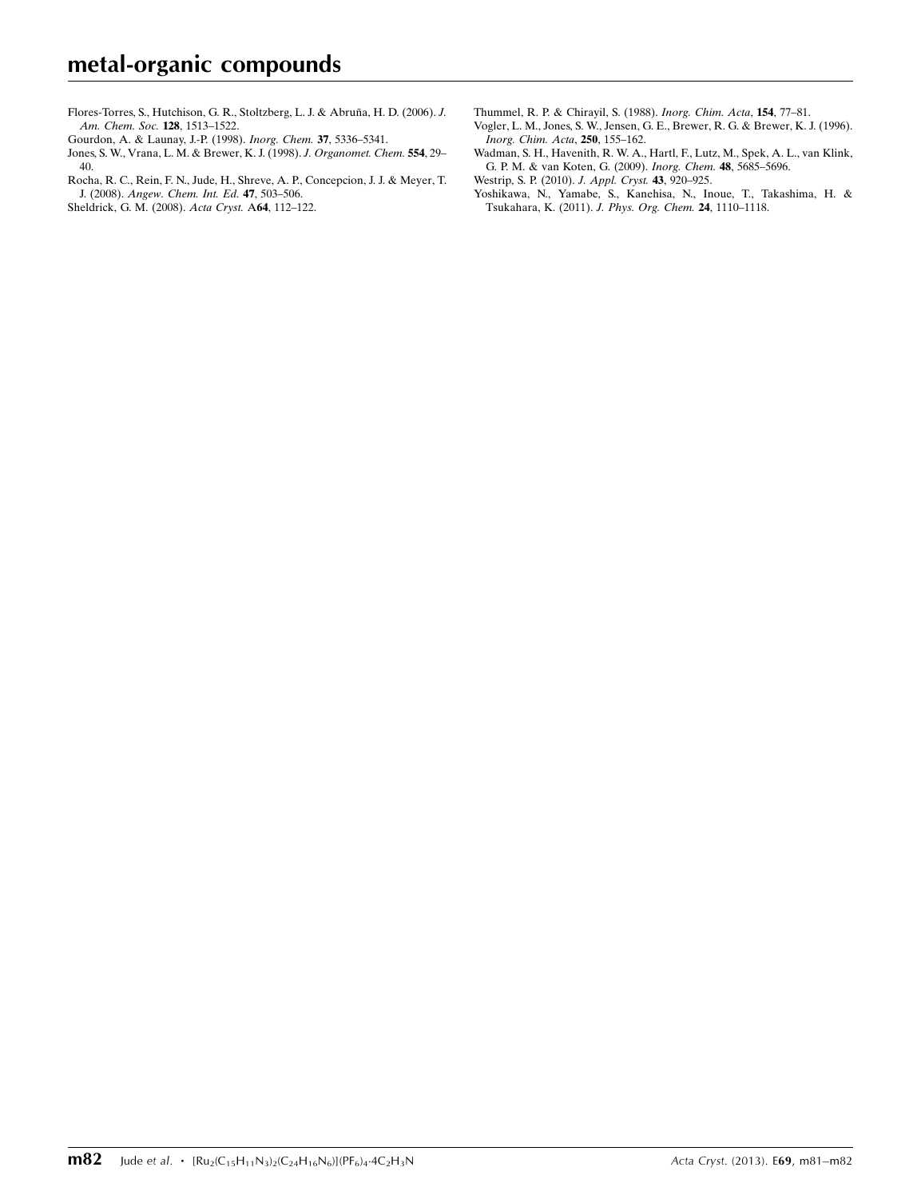Flores-Torres, S., Hutchison, G. R., Stoltzberg, L. J. & Abruña, H. D. (2006). J. [Am. Chem. Soc.](https://scripts.iucr.org/cgi-bin/cr.cgi?rm=pdfbb&cnor=zl2523&bbid=BB5) 128, 1513–1522.

- [Gourdon, A. & Launay, J.-P. \(1998\).](https://scripts.iucr.org/cgi-bin/cr.cgi?rm=pdfbb&cnor=zl2523&bbid=BB6) Inorg. Chem. 37, 5336–5341.
- [Jones, S. W., Vrana, L. M. & Brewer, K. J. \(1998\).](https://scripts.iucr.org/cgi-bin/cr.cgi?rm=pdfbb&cnor=zl2523&bbid=BB7) J. Organomet. Chem. 554, 29– [40.](https://scripts.iucr.org/cgi-bin/cr.cgi?rm=pdfbb&cnor=zl2523&bbid=BB7)

[Rocha, R. C., Rein, F. N., Jude, H., Shreve, A. P., Concepcion, J. J. & Meyer, T.](https://scripts.iucr.org/cgi-bin/cr.cgi?rm=pdfbb&cnor=zl2523&bbid=BB8) J. (2008). [Angew. Chem. Int. Ed.](https://scripts.iucr.org/cgi-bin/cr.cgi?rm=pdfbb&cnor=zl2523&bbid=BB8) 47, 503–506. [Sheldrick, G. M. \(2008\).](https://scripts.iucr.org/cgi-bin/cr.cgi?rm=pdfbb&cnor=zl2523&bbid=BB9) Acta Cryst. A64, 112–122.

[Thummel, R. P. & Chirayil, S. \(1988\).](https://scripts.iucr.org/cgi-bin/cr.cgi?rm=pdfbb&cnor=zl2523&bbid=BB10) Inorg. Chim. Acta, 154, 77–81.

- [Vogler, L. M., Jones, S. W., Jensen, G. E., Brewer, R. G. & Brewer, K. J. \(1996\).](https://scripts.iucr.org/cgi-bin/cr.cgi?rm=pdfbb&cnor=zl2523&bbid=BB11) [Inorg. Chim. Acta](https://scripts.iucr.org/cgi-bin/cr.cgi?rm=pdfbb&cnor=zl2523&bbid=BB11), 250, 155–162.
- [Wadman, S. H., Havenith, R. W. A., Hartl, F., Lutz, M., Spek, A. L., van Klink,](https://scripts.iucr.org/cgi-bin/cr.cgi?rm=pdfbb&cnor=zl2523&bbid=BB12) [G. P. M. & van Koten, G. \(2009\).](https://scripts.iucr.org/cgi-bin/cr.cgi?rm=pdfbb&cnor=zl2523&bbid=BB12) Inorg. Chem. 48, 5685–5696.
- [Westrip, S. P. \(2010\).](https://scripts.iucr.org/cgi-bin/cr.cgi?rm=pdfbb&cnor=zl2523&bbid=BB13) J. Appl. Cryst. 43, 920–925.
- [Yoshikawa, N., Yamabe, S., Kanehisa, N., Inoue, T., Takashima, H. &](https://scripts.iucr.org/cgi-bin/cr.cgi?rm=pdfbb&cnor=zl2523&bbid=BB14) [Tsukahara, K. \(2011\).](https://scripts.iucr.org/cgi-bin/cr.cgi?rm=pdfbb&cnor=zl2523&bbid=BB14) J. Phys. Org. Chem. 24, 1110–1118.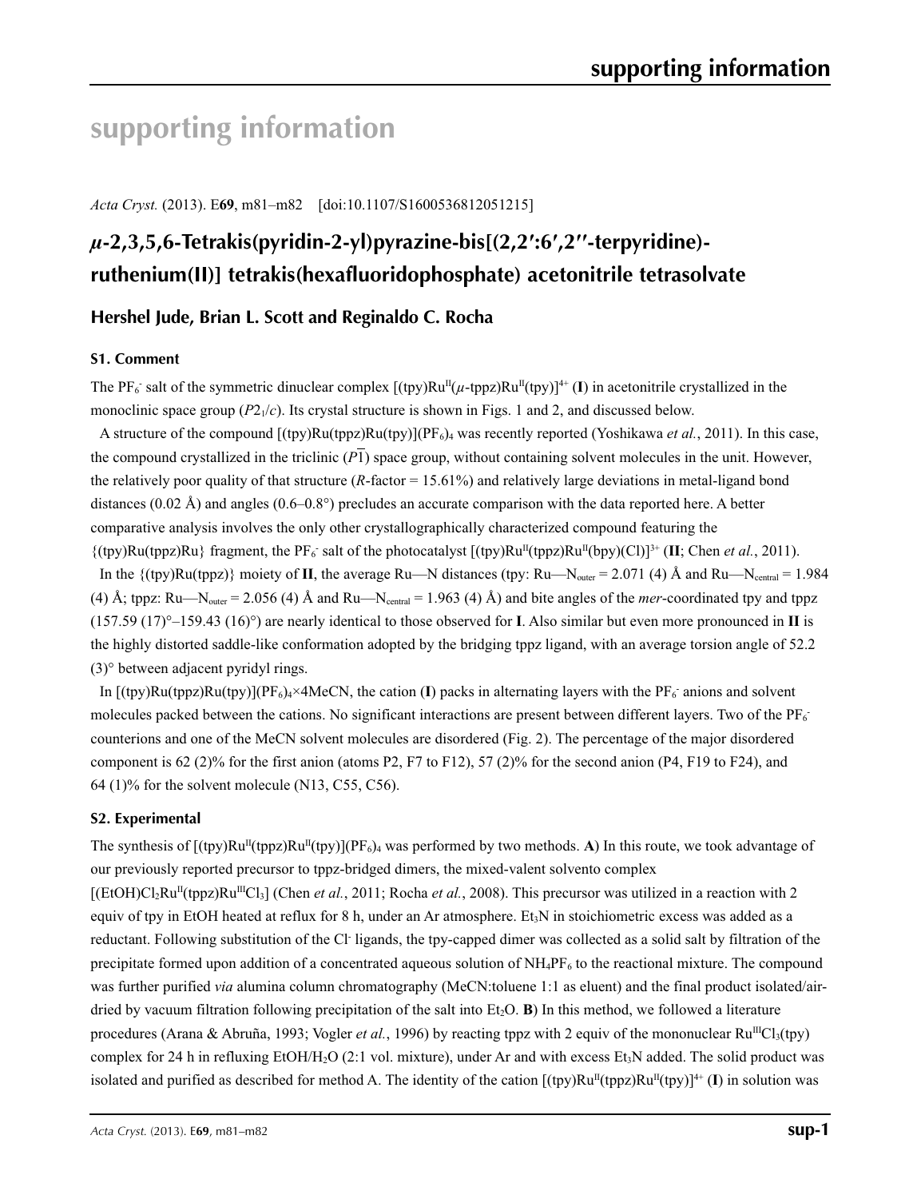# **supporting information**

*Acta Cryst.* (2013). E**69**, m81–m82 [doi:10.1107/S1600536812051215]

## *µ***-2,3,5,6-Tetrakis(pyridin-2-yl)pyrazine-bis[(2,2′:6′,2′′-terpyridine) ruthenium(II)] tetrakis(hexafluoridophosphate) acetonitrile tetrasolvate**

### **Hershel Jude, Brian L. Scott and Reginaldo C. Rocha**

#### **S1. Comment**

The PF<sub>6</sub> salt of the symmetric dinuclear complex  $[(tpy)Ru^{II}(\mu-topz)Ru^{II}(tpy)]^{4+} (I)$  in acetonitrile crystallized in the monoclinic space group  $(P2<sub>1</sub>/c)$ . Its crystal structure is shown in Figs. 1 and 2, and discussed below.

A structure of the compound [(tpy)Ru(tppz)Ru(tpy)](PF6)4 was recently reported (Yoshikawa *et al.*, 2011). In this case, the compound crystallized in the triclinic  $(P_1)$  space group, without containing solvent molecules in the unit. However, the relatively poor quality of that structure (*R*-factor = 15.61%) and relatively large deviations in metal-ligand bond distances (0.02 Å) and angles (0.6–0.8°) precludes an accurate comparison with the data reported here. A better comparative analysis involves the only other crystallographically characterized compound featuring the {(tpy)Ru(tppz)Ru} fragment, the PF6 - salt of the photocatalyst [(tpy)RuII(tppz)RuII(bpy)(Cl)]3+ (**II**; Chen *et al.*, 2011).

In the  $\{(typ)Ru(tppz)\}$  moiety of **II**, the average Ru—N distances (tpy: Ru—N<sub>outer</sub> = 2.071 (4) Å and Ru—N<sub>central</sub> = 1.984 (4) Å; tppz:  $Ru$ —N<sub>outer</sub> = 2.056 (4) Å and  $Ru$ —N<sub>central</sub> = 1.963 (4) Å) and bite angles of the *mer*-coordinated tpy and tppz (157.59 (17)°–159.43 (16)°) are nearly identical to those observed for **I**. Also similar but even more pronounced in **II** is the highly distorted saddle-like conformation adopted by the bridging tppz ligand, with an average torsion angle of 52.2 (3)° between adjacent pyridyl rings.

In  $[(\text{typ})Ru(\text{tpz})Ru(\text{tpy})](PF_6)_4 \times 4MeCN$ , the cation (I) packs in alternating layers with the  $PF_6$  anions and solvent molecules packed between the cations. No significant interactions are present between different layers. Two of the  $PF_6$ counterions and one of the MeCN solvent molecules are disordered (Fig. 2). The percentage of the major disordered component is 62 (2)% for the first anion (atoms P2, F7 to F12), 57 (2)% for the second anion (P4, F19 to F24), and 64 (1)% for the solvent molecule (N13, C55, C56).

#### **S2. Experimental**

The synthesis of  $[(\text{typ})Ru^{II}(\text{typz})Ru^{II}(\text{typ})](PF_6)_4$  was performed by two methods. A) In this route, we took advantage of our previously reported precursor to tppz-bridged dimers, the mixed-valent solvento complex  $[(EtOH)Cl<sub>2</sub>Ru<sup>II</sup>(tppz)Ru<sup>III</sup>Cl<sub>3</sub>]$  (Chen *et al.*, 2011; Rocha *et al.*, 2008). This precursor was utilized in a reaction with 2 equiv of tpy in EtOH heated at reflux for 8 h, under an Ar atmosphere. Et<sub>3</sub>N in stoichiometric excess was added as a reductant. Following substitution of the Cl ligands, the tpy-capped dimer was collected as a solid salt by filtration of the precipitate formed upon addition of a concentrated aqueous solution of  $NH_4PF_6$  to the reactional mixture. The compound was further purified *via* alumina column chromatography (MeCN:toluene 1:1 as eluent) and the final product isolated/airdried by vacuum filtration following precipitation of the salt into  $Et<sub>2</sub>O$ . **B**) In this method, we followed a literature procedures (Arana & Abruña, 1993; Vogler *et al.*, 1996) by reacting tppz with 2 equiv of the mononuclear Ru<sup>III</sup>Cl<sub>3</sub>(tpy) complex for 24 h in refluxing EtOH/H<sub>2</sub>O (2:1 vol. mixture), under Ar and with excess Et<sub>3</sub>N added. The solid product was isolated and purified as described for method A. The identity of the cation  $[(typ)Ru^{II}(tppz)Ru^{II}(tpy)]^{4+}$  (**I**) in solution was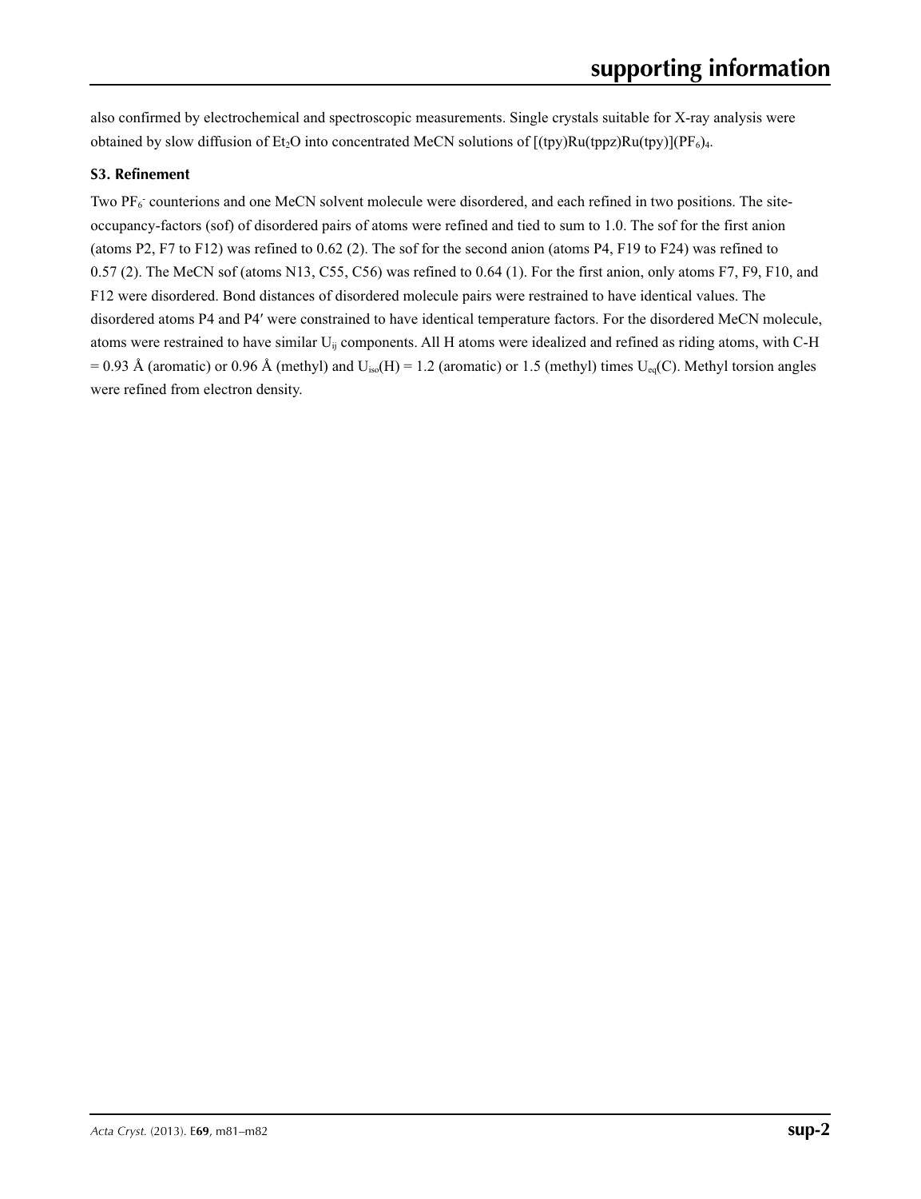also confirmed by electrochemical and spectroscopic measurements. Single crystals suitable for X-ray analysis were obtained by slow diffusion of Et<sub>2</sub>O into concentrated MeCN solutions of  $[(tpy)Ru(tppz)Ru(tpy)](PF_6)_4$ .

### **S3. Refinement**

Two  $PF_6$  counterions and one MeCN solvent molecule were disordered, and each refined in two positions. The siteoccupancy-factors (sof) of disordered pairs of atoms were refined and tied to sum to 1.0. The sof for the first anion (atoms P2, F7 to F12) was refined to 0.62 (2). The sof for the second anion (atoms P4, F19 to F24) was refined to 0.57 (2). The MeCN sof (atoms N13, C55, C56) was refined to 0.64 (1). For the first anion, only atoms F7, F9, F10, and F12 were disordered. Bond distances of disordered molecule pairs were restrained to have identical values. The disordered atoms P4 and P4′ were constrained to have identical temperature factors. For the disordered MeCN molecule, atoms were restrained to have similar Uij components. All H atoms were idealized and refined as riding atoms, with C-H = 0.93 Å (aromatic) or 0.96 Å (methyl) and  $U_{iso}(H) = 1.2$  (aromatic) or 1.5 (methyl) times  $U_{eq}(C)$ . Methyl torsion angles were refined from electron density.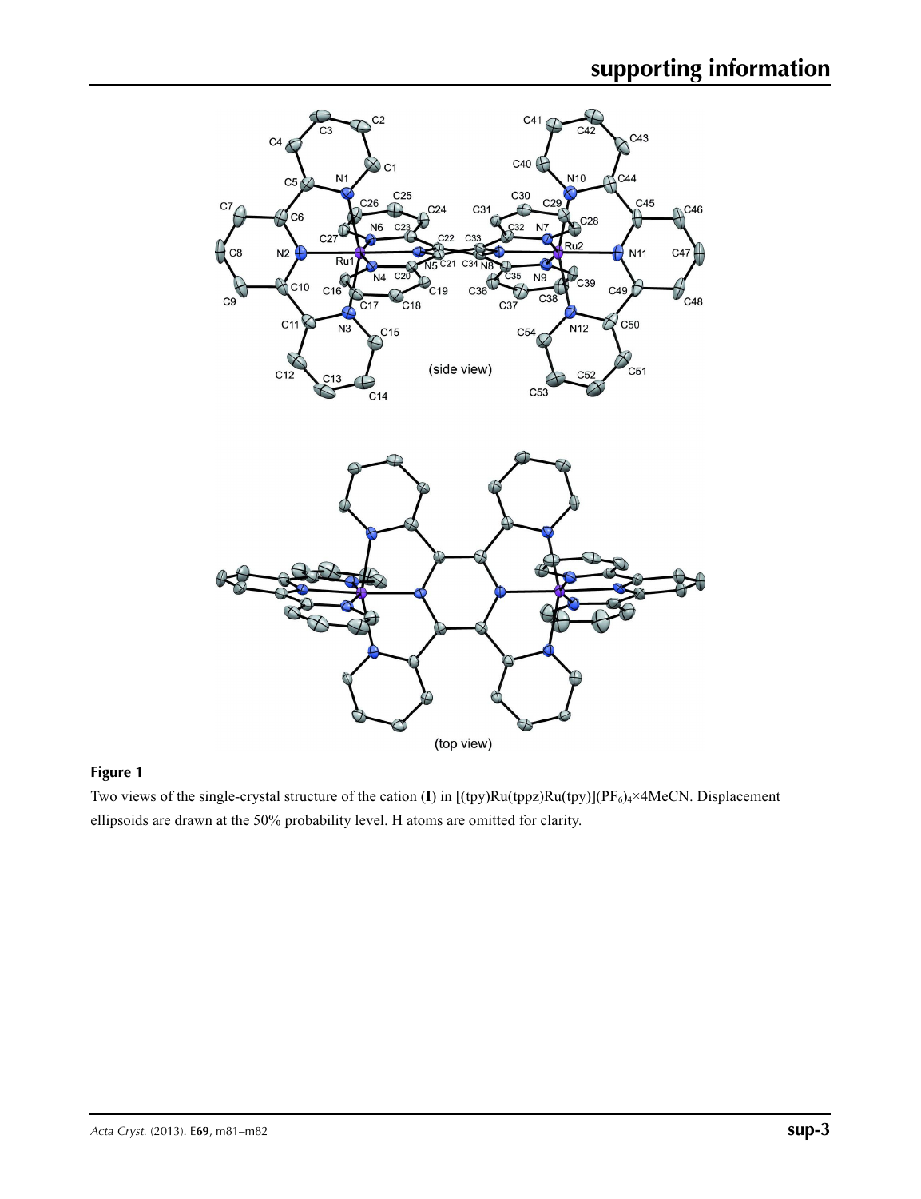

### **Figure 1**

Two views of the single-crystal structure of the cation (**I**) in [(tpy)Ru(tppz)Ru(tpy)](PF<sub>6</sub>)<sub>4</sub>×4MeCN. Displacement ellipsoids are drawn at the 50% probability level. H atoms are omitted for clarity.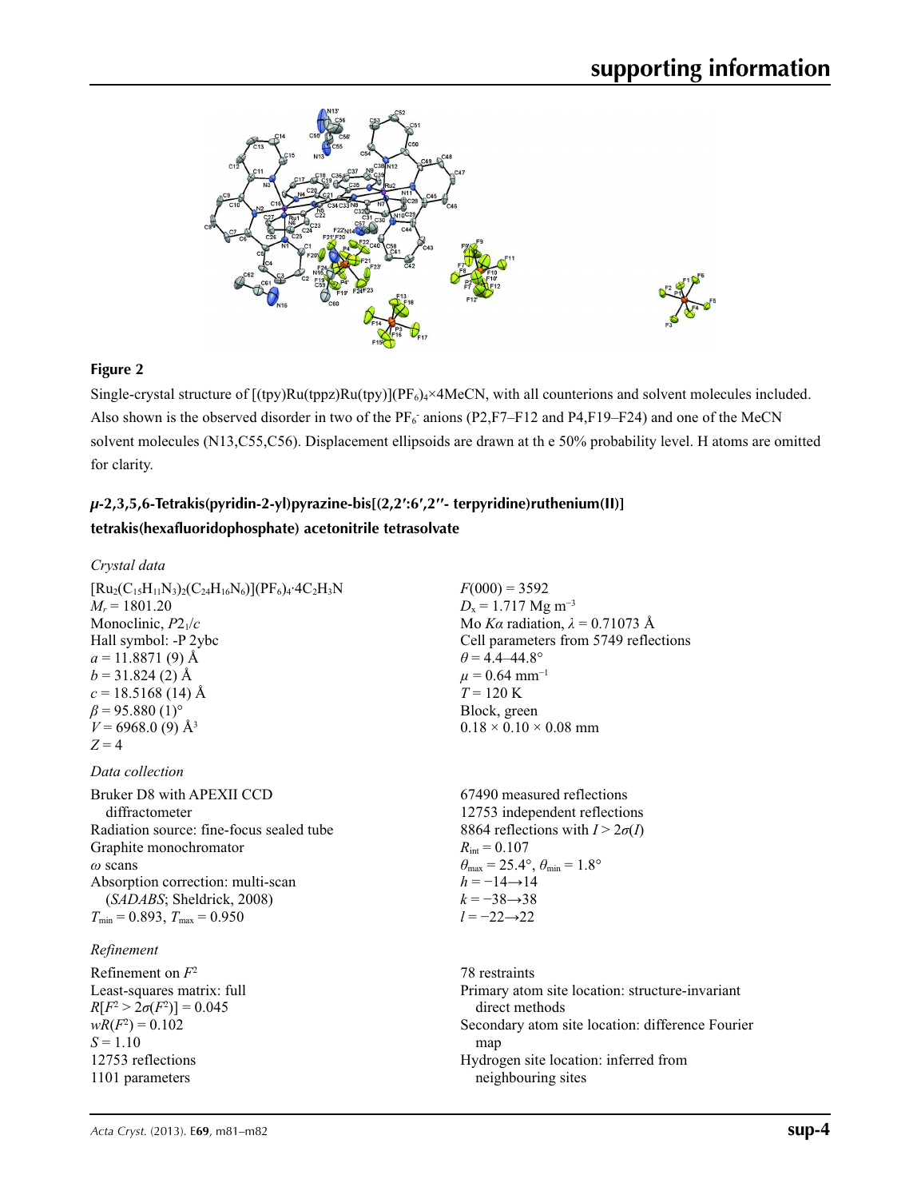

#### **Figure 2**

Single-crystal structure of  $[(tpy)Ru(tppz)Ru(tpy)](PF_6)_4\times 4MeCN$ , with all counterions and solvent molecules included. Also shown is the observed disorder in two of the  $PF_6$  anions (P2,F7–F12 and P4,F19–F24) and one of the MeCN solvent molecules (N13,C55,C56). Displacement ellipsoids are drawn at th e 50% probability level. H atoms are omitted for clarity.

## *µ***-2,3,5,6-Tetrakis(pyridin-2-yl)pyrazine-bis[(2,2′:6′,2′′- terpyridine)ruthenium(II)] tetrakis(hexafluoridophosphate) acetonitrile tetrasolvate**

#### *Crystal data*

| $[Ru_2(C_{15}H_{11}N_3)_2(C_{24}H_{16}N_6)](PF_6)_4.4C_2H_3N$ | $F(000) = 3592$                                                         |
|---------------------------------------------------------------|-------------------------------------------------------------------------|
| $M_r = 1801.20$                                               | $D_x = 1.717$ Mg m <sup>-3</sup>                                        |
| Monoclinic, $P2_1/c$                                          | Mo Ka radiation, $\lambda = 0.71073$ Å                                  |
| Hall symbol: -P 2ybc                                          | Cell parameters from 5749 reflections                                   |
| $a = 11.8871(9)$ Å                                            | $\theta$ = 4.4–44.8°                                                    |
| $b = 31.824(2)$ Å                                             | $\mu = 0.64$ mm <sup>-1</sup>                                           |
| $c = 18.5168(14)$ Å                                           | $T = 120 \text{ K}$                                                     |
| $\beta$ = 95.880 (1) <sup>o</sup>                             | Block, green                                                            |
| $V = 6968.0$ (9) Å <sup>3</sup>                               | $0.18 \times 0.10 \times 0.08$ mm                                       |
| $Z=4$                                                         |                                                                         |
| Data collection                                               |                                                                         |
| Bruker D8 with APEXII CCD                                     | 67490 measured reflections                                              |
| diffractometer                                                | 12753 independent reflections                                           |
| Radiation source: fine-focus sealed tube                      | 8864 reflections with $I > 2\sigma(I)$                                  |
| Graphite monochromator                                        | $R_{\rm int} = 0.107$                                                   |
| $\omega$ scans                                                | $\theta_{\text{max}} = 25.4^{\circ}, \theta_{\text{min}} = 1.8^{\circ}$ |
| Absorption correction: multi-scan                             | $h = -14 \rightarrow 14$                                                |
| (SADABS; Sheldrick, 2008)                                     | $k = -38 \rightarrow 38$                                                |
| $T_{\min}$ = 0.893, $T_{\max}$ = 0.950                        | $l = -22 \rightarrow 22$                                                |
| Refinement                                                    |                                                                         |
| Refinement on $F^2$                                           | 78 restraints                                                           |
| Least-squares matrix: full                                    | Primary atom site location: structure-invariant                         |
| $R[F^2 > 2\sigma(F^2)] = 0.045$                               | direct methods                                                          |
| $wR(F^2) = 0.102$                                             | Secondary atom site location: difference Fourie                         |
| $S = 1.10$                                                    | map                                                                     |

ence Fourier map Hydrogen site location: inferred from neighbouring sites

12753 reflections 1101 parameters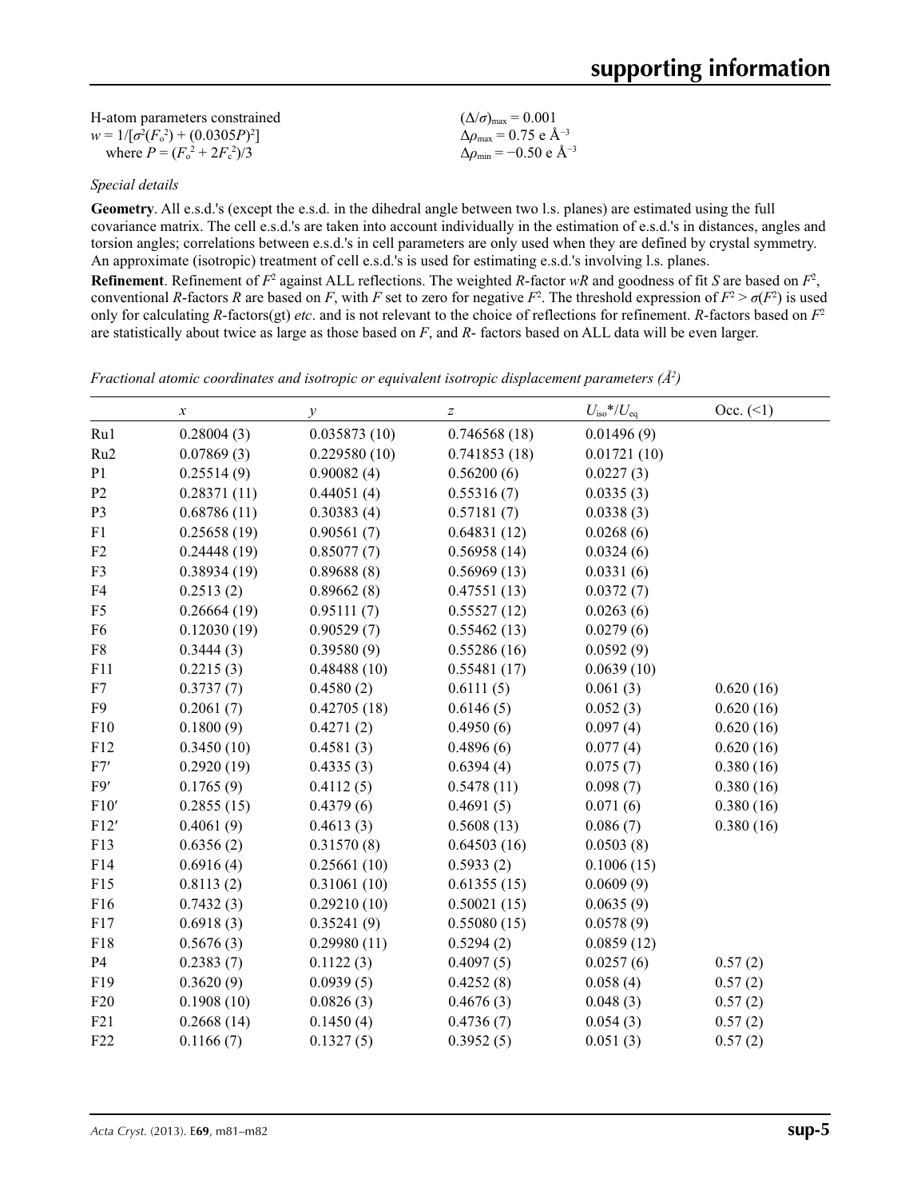| H-atom parameters constrained           | $(\Delta/\sigma)_{\text{max}} = 0.001$           |
|-----------------------------------------|--------------------------------------------------|
| $w = 1/[\sigma^2(F_0^2) + (0.0305P)^2]$ | $\Delta\rho_{\rm max}$ = 0.75 e Å <sup>-3</sup>  |
| where $P = (F_0^2 + 2F_c^2)/3$          | $\Delta\rho_{\rm min}$ = -0.50 e Å <sup>-3</sup> |

*Special details*

**Geometry**. All e.s.d.'s (except the e.s.d. in the dihedral angle between two l.s. planes) are estimated using the full covariance matrix. The cell e.s.d.'s are taken into account individually in the estimation of e.s.d.'s in distances, angles and torsion angles; correlations between e.s.d.'s in cell parameters are only used when they are defined by crystal symmetry. An approximate (isotropic) treatment of cell e.s.d.'s is used for estimating e.s.d.'s involving l.s. planes. **Refinement**. Refinement of  $F^2$  against ALL reflections. The weighted *R*-factor  $wR$  and goodness of fit *S* are based on  $F^2$ ,

conventional *R*-factors *R* are based on *F*, with *F* set to zero for negative  $F^2$ . The threshold expression of  $F^2 > \sigma(F^2)$  is used only for calculating *R*-factors(gt) *etc*. and is not relevant to the choice of reflections for refinement. *R*-factors based on *F*<sup>2</sup> are statistically about twice as large as those based on *F*, and *R*- factors based on ALL data will be even larger.

*Fractional atomic coordinates and isotropic or equivalent isotropic displacement parameters (Å2 )*

|                 | $\boldsymbol{x}$ | $\mathcal{V}$ | $\boldsymbol{Z}$ | $U_{\text{iso}}$ */ $U_{\text{eq}}$ | Occ. (2)  |
|-----------------|------------------|---------------|------------------|-------------------------------------|-----------|
| Ru1             | 0.28004(3)       | 0.035873(10)  | 0.746568(18)     | 0.01496(9)                          |           |
| Ru <sub>2</sub> | 0.07869(3)       | 0.229580(10)  | 0.741853(18)     | 0.01721(10)                         |           |
| P <sub>1</sub>  | 0.25514(9)       | 0.90082(4)    | 0.56200(6)       | 0.0227(3)                           |           |
| P <sub>2</sub>  | 0.28371(11)      | 0.44051(4)    | 0.55316(7)       | 0.0335(3)                           |           |
| P <sub>3</sub>  | 0.68786(11)      | 0.30383(4)    | 0.57181(7)       | 0.0338(3)                           |           |
| F1              | 0.25658(19)      | 0.90561(7)    | 0.64831(12)      | 0.0268(6)                           |           |
| F2              | 0.24448(19)      | 0.85077(7)    | 0.56958(14)      | 0.0324(6)                           |           |
| F3              | 0.38934(19)      | 0.89688(8)    | 0.56969(13)      | 0.0331(6)                           |           |
| F4              | 0.2513(2)        | 0.89662(8)    | 0.47551(13)      | 0.0372(7)                           |           |
| F5              | 0.26664(19)      | 0.95111(7)    | 0.55527(12)      | 0.0263(6)                           |           |
| F <sub>6</sub>  | 0.12030(19)      | 0.90529(7)    | 0.55462(13)      | 0.0279(6)                           |           |
| ${\rm F}8$      | 0.3444(3)        | 0.39580(9)    | 0.55286(16)      | 0.0592(9)                           |           |
| F11             | 0.2215(3)        | 0.48488(10)   | 0.55481(17)      | 0.0639(10)                          |           |
| F7              | 0.3737(7)        | 0.4580(2)     | 0.6111(5)        | 0.061(3)                            | 0.620(16) |
| F <sub>9</sub>  | 0.2061(7)        | 0.42705(18)   | 0.6146(5)        | 0.052(3)                            | 0.620(16) |
| F10             | 0.1800(9)        | 0.4271(2)     | 0.4950(6)        | 0.097(4)                            | 0.620(16) |
| F12             | 0.3450(10)       | 0.4581(3)     | 0.4896(6)        | 0.077(4)                            | 0.620(16) |
| F7'             | 0.2920(19)       | 0.4335(3)     | 0.6394(4)        | 0.075(7)                            | 0.380(16) |
| F9'             | 0.1765(9)        | 0.4112(5)     | 0.5478(11)       | 0.098(7)                            | 0.380(16) |
| F10'            | 0.2855(15)       | 0.4379(6)     | 0.4691(5)        | 0.071(6)                            | 0.380(16) |
| F12'            | 0.4061(9)        | 0.4613(3)     | 0.5608(13)       | 0.086(7)                            | 0.380(16) |
| F13             | 0.6356(2)        | 0.31570(8)    | 0.64503(16)      | 0.0503(8)                           |           |
| F14             | 0.6916(4)        | 0.25661(10)   | 0.5933(2)        | 0.1006(15)                          |           |
| F15             | 0.8113(2)        | 0.31061(10)   | 0.61355(15)      | 0.0609(9)                           |           |
| F16             | 0.7432(3)        | 0.29210(10)   | 0.50021(15)      | 0.0635(9)                           |           |
| F17             | 0.6918(3)        | 0.35241(9)    | 0.55080(15)      | 0.0578(9)                           |           |
| F18             | 0.5676(3)        | 0.29980(11)   | 0.5294(2)        | 0.0859(12)                          |           |
| <b>P4</b>       | 0.2383(7)        | 0.1122(3)     | 0.4097(5)        | 0.0257(6)                           | 0.57(2)   |
| F19             | 0.3620(9)        | 0.0939(5)     | 0.4252(8)        | 0.058(4)                            | 0.57(2)   |
| F20             | 0.1908(10)       | 0.0826(3)     | 0.4676(3)        | 0.048(3)                            | 0.57(2)   |
| F21             | 0.2668(14)       | 0.1450(4)     | 0.4736(7)        | 0.054(3)                            | 0.57(2)   |
| F22             | 0.1166(7)        | 0.1327(5)     | 0.3952(5)        | 0.051(3)                            | 0.57(2)   |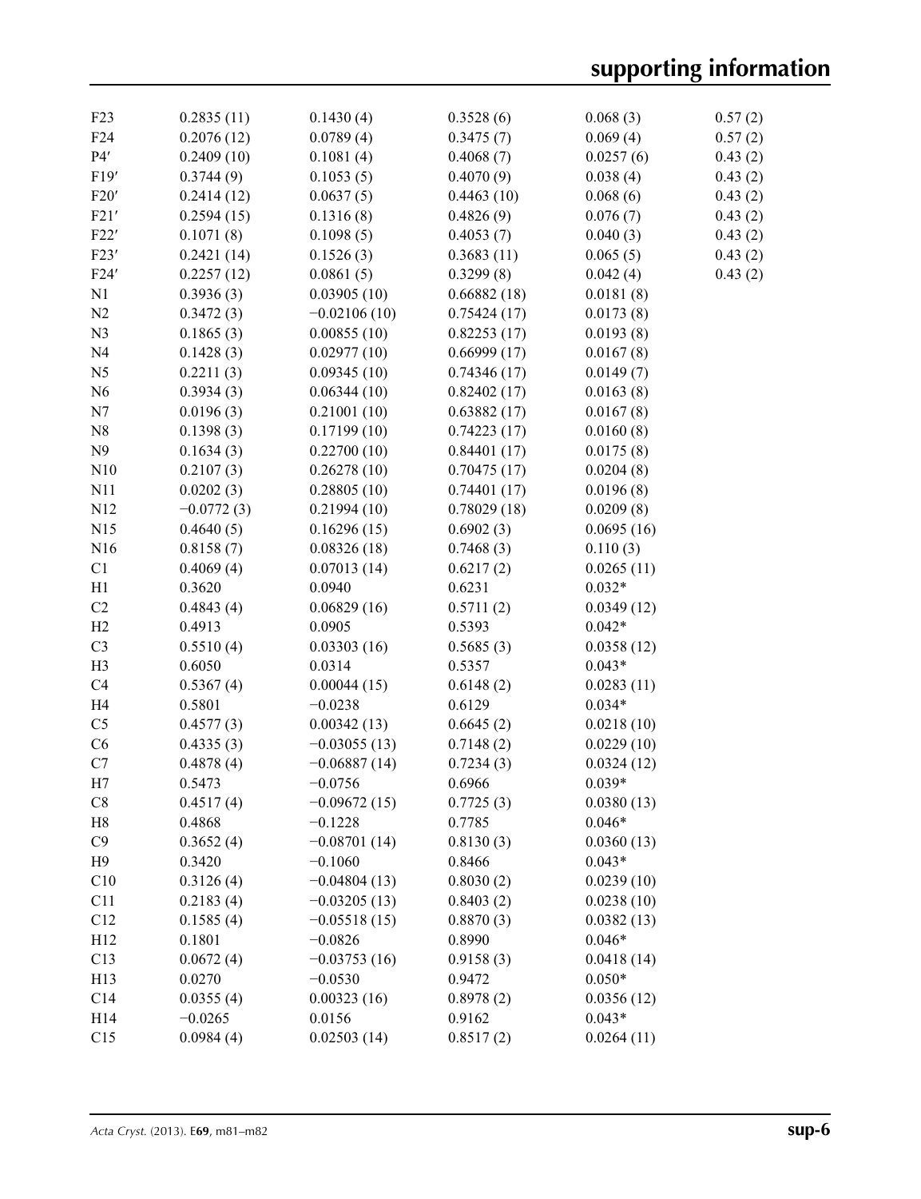| F23             | 0.2835(11)   | 0.1430(4)      | 0.3528(6)   | 0.068(3)   | 0.57(2) |
|-----------------|--------------|----------------|-------------|------------|---------|
| F <sub>24</sub> | 0.2076(12)   | 0.0789(4)      | 0.3475(7)   | 0.069(4)   | 0.57(2) |
| P4'             | 0.2409(10)   | 0.1081(4)      | 0.4068(7)   | 0.0257(6)  | 0.43(2) |
| F19'            | 0.3744(9)    | 0.1053(5)      | 0.4070(9)   | 0.038(4)   | 0.43(2) |
| F20'            | 0.2414(12)   | 0.0637(5)      | 0.4463(10)  | 0.068(6)   | 0.43(2) |
| F21'            | 0.2594(15)   | 0.1316(8)      | 0.4826(9)   | 0.076(7)   | 0.43(2) |
| F22'            | 0.1071(8)    | 0.1098(5)      | 0.4053(7)   | 0.040(3)   | 0.43(2) |
| F23'            | 0.2421(14)   | 0.1526(3)      | 0.3683(11)  | 0.065(5)   | 0.43(2) |
| F24'            | 0.2257(12)   | 0.0861(5)      | 0.3299(8)   | 0.042(4)   | 0.43(2) |
| N1              | 0.3936(3)    | 0.03905(10)    | 0.66882(18) | 0.0181(8)  |         |
| N2              | 0.3472(3)    | $-0.02106(10)$ | 0.75424(17) | 0.0173(8)  |         |
| N <sub>3</sub>  | 0.1865(3)    | 0.00855(10)    | 0.82253(17) | 0.0193(8)  |         |
| N <sub>4</sub>  | 0.1428(3)    | 0.02977(10)    | 0.66999(17) | 0.0167(8)  |         |
| N <sub>5</sub>  | 0.2211(3)    | 0.09345(10)    | 0.74346(17) | 0.0149(7)  |         |
| N <sub>6</sub>  | 0.3934(3)    | 0.06344(10)    | 0.82402(17) | 0.0163(8)  |         |
| N7              | 0.0196(3)    | 0.21001(10)    | 0.63882(17) | 0.0167(8)  |         |
| N8              | 0.1398(3)    | 0.17199(10)    | 0.74223(17) | 0.0160(8)  |         |
| N9              | 0.1634(3)    | 0.22700(10)    | 0.84401(17) | 0.0175(8)  |         |
| N10             | 0.2107(3)    | 0.26278(10)    | 0.70475(17) | 0.0204(8)  |         |
| N11             | 0.0202(3)    | 0.28805(10)    | 0.74401(17) | 0.0196(8)  |         |
| N <sub>12</sub> | $-0.0772(3)$ | 0.21994(10)    | 0.78029(18) | 0.0209(8)  |         |
| N15             | 0.4640(5)    | 0.16296(15)    | 0.6902(3)   | 0.0695(16) |         |
| N16             | 0.8158(7)    | 0.08326(18)    | 0.7468(3)   | 0.110(3)   |         |
| C1              | 0.4069(4)    | 0.07013(14)    | 0.6217(2)   | 0.0265(11) |         |
| H1              | 0.3620       | 0.0940         | 0.6231      | $0.032*$   |         |
| C2              | 0.4843(4)    | 0.06829(16)    | 0.5711(2)   | 0.0349(12) |         |
| H2              | 0.4913       | 0.0905         | 0.5393      | $0.042*$   |         |
| C <sub>3</sub>  | 0.5510(4)    | 0.03303(16)    | 0.5685(3)   | 0.0358(12) |         |
| H <sub>3</sub>  | 0.6050       | 0.0314         | 0.5357      | $0.043*$   |         |
| C4              | 0.5367(4)    | 0.00044(15)    | 0.6148(2)   | 0.0283(11) |         |
| H <sub>4</sub>  | 0.5801       | $-0.0238$      | 0.6129      | $0.034*$   |         |
| C <sub>5</sub>  | 0.4577(3)    | 0.00342(13)    | 0.6645(2)   | 0.0218(10) |         |
| C6              | 0.4335(3)    | $-0.03055(13)$ | 0.7148(2)   | 0.0229(10) |         |
| C7              | 0.4878(4)    | $-0.06887(14)$ | 0.7234(3)   | 0.0324(12) |         |
| H7              | 0.5473       | $-0.0756$      | 0.6966      | $0.039*$   |         |
| C8              | 0.4517(4)    | $-0.09672(15)$ | 0.7725(3)   | 0.0380(13) |         |
| H8              | 0.4868       | $-0.1228$      | 0.7785      | $0.046*$   |         |
| C9              | 0.3652(4)    | $-0.08701(14)$ | 0.8130(3)   | 0.0360(13) |         |
| H <sub>9</sub>  | 0.3420       | $-0.1060$      | 0.8466      | $0.043*$   |         |
| C10             | 0.3126(4)    | $-0.04804(13)$ | 0.8030(2)   | 0.0239(10) |         |
| C11             | 0.2183(4)    | $-0.03205(13)$ | 0.8403(2)   | 0.0238(10) |         |
| C12             | 0.1585(4)    | $-0.05518(15)$ | 0.8870(3)   | 0.0382(13) |         |
| H12             | 0.1801       | $-0.0826$      | 0.8990      | $0.046*$   |         |
| C13             | 0.0672(4)    | $-0.03753(16)$ | 0.9158(3)   | 0.0418(14) |         |
| H13             | 0.0270       | $-0.0530$      | 0.9472      | $0.050*$   |         |
| C14             | 0.0355(4)    | 0.00323(16)    | 0.8978(2)   | 0.0356(12) |         |
| H14             | $-0.0265$    | 0.0156         | 0.9162      | $0.043*$   |         |
| C15             | 0.0984(4)    | 0.02503(14)    | 0.8517(2)   | 0.0264(11) |         |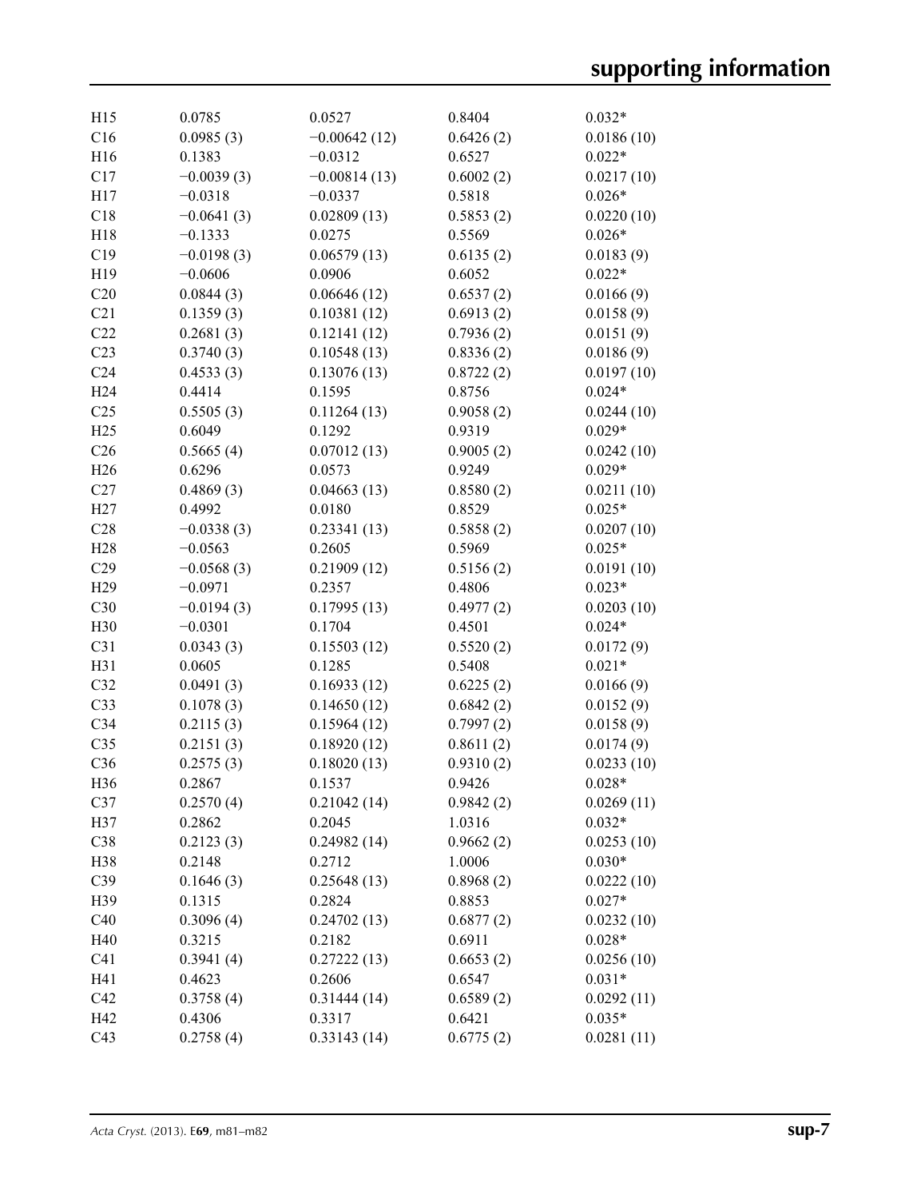| H15             | 0.0785       | 0.0527         | 0.8404    | $0.032*$   |
|-----------------|--------------|----------------|-----------|------------|
| C16             | 0.0985(3)    | $-0.00642(12)$ | 0.6426(2) | 0.0186(10) |
| H16             | 0.1383       | $-0.0312$      | 0.6527    | $0.022*$   |
| C17             | $-0.0039(3)$ | $-0.00814(13)$ | 0.6002(2) | 0.0217(10) |
| H17             | $-0.0318$    | $-0.0337$      | 0.5818    | $0.026*$   |
| C18             | $-0.0641(3)$ | 0.02809(13)    | 0.5853(2) | 0.0220(10) |
| H18             | $-0.1333$    | 0.0275         | 0.5569    | $0.026*$   |
| C19             | $-0.0198(3)$ | 0.06579(13)    | 0.6135(2) | 0.0183(9)  |
| H19             | $-0.0606$    | 0.0906         | 0.6052    | $0.022*$   |
| C20             | 0.0844(3)    | 0.06646(12)    | 0.6537(2) | 0.0166(9)  |
| C21             | 0.1359(3)    | 0.10381(12)    | 0.6913(2) | 0.0158(9)  |
| C22             | 0.2681(3)    | 0.12141(12)    | 0.7936(2) | 0.0151(9)  |
| C23             | 0.3740(3)    | 0.10548(13)    | 0.8336(2) | 0.0186(9)  |
| C <sub>24</sub> | 0.4533(3)    | 0.13076(13)    | 0.8722(2) | 0.0197(10) |
| H <sub>24</sub> | 0.4414       | 0.1595         | 0.8756    | $0.024*$   |
| C <sub>25</sub> | 0.5505(3)    | 0.11264(13)    | 0.9058(2) | 0.0244(10) |
| H25             | 0.6049       | 0.1292         | 0.9319    | $0.029*$   |
| C <sub>26</sub> | 0.5665(4)    | 0.07012(13)    | 0.9005(2) | 0.0242(10) |
| H26             | 0.6296       | 0.0573         | 0.9249    | $0.029*$   |
| C27             | 0.4869(3)    | 0.04663(13)    | 0.8580(2) | 0.0211(10) |
| H27             | 0.4992       | 0.0180         | 0.8529    | $0.025*$   |
| C28             | $-0.0338(3)$ | 0.23341(13)    | 0.5858(2) | 0.0207(10) |
| H28             | $-0.0563$    | 0.2605         | 0.5969    | $0.025*$   |
| C29             | $-0.0568(3)$ | 0.21909(12)    | 0.5156(2) | 0.0191(10) |
| H <sub>29</sub> | $-0.0971$    | 0.2357         | 0.4806    | $0.023*$   |
| C30             | $-0.0194(3)$ | 0.17995(13)    | 0.4977(2) | 0.0203(10) |
| H <sub>30</sub> | $-0.0301$    | 0.1704         | 0.4501    | $0.024*$   |
| C31             | 0.0343(3)    | 0.15503(12)    | 0.5520(2) | 0.0172(9)  |
| H31             | 0.0605       | 0.1285         | 0.5408    | $0.021*$   |
| C32             | 0.0491(3)    | 0.16933(12)    | 0.6225(2) | 0.0166(9)  |
| C33             | 0.1078(3)    | 0.14650(12)    | 0.6842(2) | 0.0152(9)  |
| C34             | 0.2115(3)    | 0.15964(12)    | 0.7997(2) | 0.0158(9)  |
| C35             | 0.2151(3)    | 0.18920(12)    | 0.8611(2) | 0.0174(9)  |
| C36             | 0.2575(3)    | 0.18020(13)    | 0.9310(2) | 0.0233(10) |
| H36             | 0.2867       | 0.1537         | 0.9426    | $0.028*$   |
| C <sub>37</sub> | 0.2570(4)    | 0.21042(14)    | 0.9842(2) | 0.0269(11) |
| H37             | 0.2862       | 0.2045         | 1.0316    | $0.032*$   |
| C38             | 0.2123(3)    | 0.24982(14)    | 0.9662(2) | 0.0253(10) |
| H38             | 0.2148       | 0.2712         | 1.0006    | $0.030*$   |
| C39             | 0.1646(3)    | 0.25648(13)    | 0.8968(2) | 0.0222(10) |
| H39             | 0.1315       | 0.2824         | 0.8853    | $0.027*$   |
| C40             | 0.3096(4)    | 0.24702(13)    | 0.6877(2) | 0.0232(10) |
| H40             | 0.3215       | 0.2182         | 0.6911    | $0.028*$   |
| C <sub>41</sub> | 0.3941(4)    | 0.27222(13)    | 0.6653(2) | 0.0256(10) |
| H41             | 0.4623       | 0.2606         | 0.6547    | $0.031*$   |
| C42             | 0.3758(4)    | 0.31444(14)    | 0.6589(2) | 0.0292(11) |
| H42             | 0.4306       | 0.3317         | 0.6421    | $0.035*$   |
| C43             | 0.2758(4)    | 0.33143(14)    | 0.6775(2) | 0.0281(11) |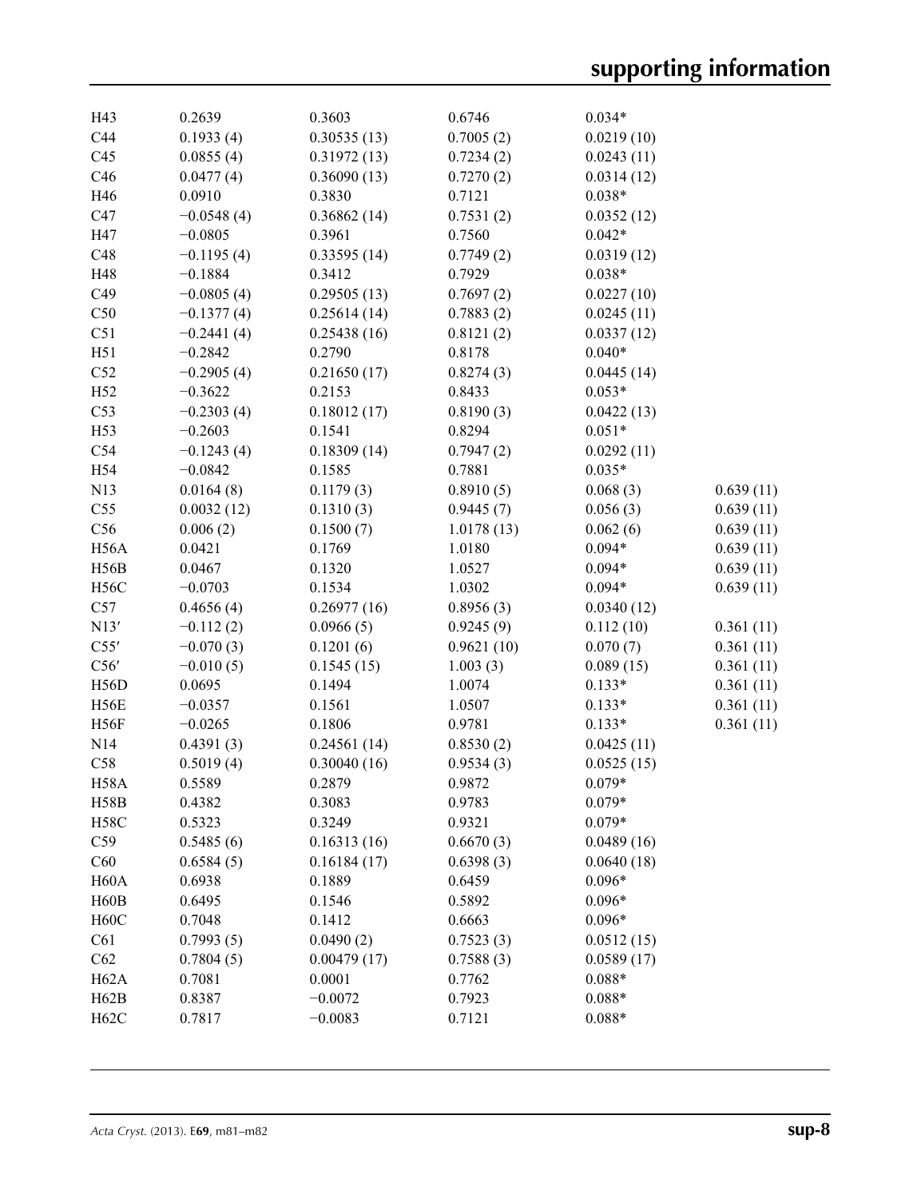| H43               | 0.2639       | 0.3603      | 0.6746     | $0.034*$   |           |
|-------------------|--------------|-------------|------------|------------|-----------|
| C44               | 0.1933(4)    | 0.30535(13) | 0.7005(2)  | 0.0219(10) |           |
| C45               | 0.0855(4)    | 0.31972(13) | 0.7234(2)  | 0.0243(11) |           |
| C46               | 0.0477(4)    | 0.36090(13) | 0.7270(2)  | 0.0314(12) |           |
| H46               | 0.0910       | 0.3830      | 0.7121     | $0.038*$   |           |
| C47               | $-0.0548(4)$ | 0.36862(14) | 0.7531(2)  | 0.0352(12) |           |
| H47               | $-0.0805$    | 0.3961      | 0.7560     | $0.042*$   |           |
| C48               | $-0.1195(4)$ | 0.33595(14) | 0.7749(2)  | 0.0319(12) |           |
| H48               | $-0.1884$    | 0.3412      | 0.7929     | $0.038*$   |           |
| C49               | $-0.0805(4)$ | 0.29505(13) | 0.7697(2)  | 0.0227(10) |           |
| C50               | $-0.1377(4)$ | 0.25614(14) | 0.7883(2)  | 0.0245(11) |           |
| C51               | $-0.2441(4)$ | 0.25438(16) | 0.8121(2)  | 0.0337(12) |           |
| H51               | $-0.2842$    | 0.2790      | 0.8178     | $0.040*$   |           |
| C52               | $-0.2905(4)$ | 0.21650(17) | 0.8274(3)  | 0.0445(14) |           |
| H52               | $-0.3622$    | 0.2153      | 0.8433     | $0.053*$   |           |
| C53               | $-0.2303(4)$ | 0.18012(17) | 0.8190(3)  | 0.0422(13) |           |
| H53               | $-0.2603$    | 0.1541      | 0.8294     | $0.051*$   |           |
| C54               | $-0.1243(4)$ | 0.18309(14) | 0.7947(2)  | 0.0292(11) |           |
| H54               | $-0.0842$    | 0.1585      | 0.7881     | $0.035*$   |           |
| N13               | 0.0164(8)    | 0.1179(3)   | 0.8910(5)  | 0.068(3)   | 0.639(11) |
| C55               | 0.0032(12)   | 0.1310(3)   | 0.9445(7)  | 0.056(3)   | 0.639(11) |
| C56               | 0.006(2)     | 0.1500(7)   | 1.0178(13) | 0.062(6)   | 0.639(11) |
| H <sub>56</sub> A | 0.0421       | 0.1769      | 1.0180     | $0.094*$   | 0.639(11) |
| H <sub>56</sub> B | 0.0467       | 0.1320      | 1.0527     | $0.094*$   | 0.639(11) |
| <b>H56C</b>       | $-0.0703$    | 0.1534      | 1.0302     | $0.094*$   | 0.639(11) |
| C57               | 0.4656(4)    | 0.26977(16) | 0.8956(3)  | 0.0340(12) |           |
| N13'              | $-0.112(2)$  | 0.0966(5)   | 0.9245(9)  | 0.112(10)  | 0.361(11) |
| C55'              | $-0.070(3)$  | 0.1201(6)   | 0.9621(10) | 0.070(7)   | 0.361(11) |
| C56'              | $-0.010(5)$  | 0.1545(15)  | 1.003(3)   | 0.089(15)  | 0.361(11) |
| H56D              | 0.0695       | 0.1494      | 1.0074     | $0.133*$   | 0.361(11) |
| H56E              | $-0.0357$    | 0.1561      | 1.0507     | $0.133*$   | 0.361(11) |
| H56F              | $-0.0265$    | 0.1806      | 0.9781     | $0.133*$   | 0.361(11) |
| N <sub>14</sub>   | 0.4391(3)    | 0.24561(14) | 0.8530(2)  | 0.0425(11) |           |
| C58               | 0.5019(4)    | 0.30040(16) | 0.9534(3)  | 0.0525(15) |           |
| H58A              | 0.5589       | 0.2879      | 0.9872     | $0.079*$   |           |
| <b>H58B</b>       | 0.4382       | 0.3083      | 0.9783     | $0.079*$   |           |
| H58C              | 0.5323       | 0.3249      | 0.9321     | $0.079*$   |           |
| C59               | 0.5485(6)    | 0.16313(16) | 0.6670(3)  | 0.0489(16) |           |
| C60               | 0.6584(5)    | 0.16184(17) | 0.6398(3)  | 0.0640(18) |           |
| H60A              | 0.6938       | 0.1889      | 0.6459     | $0.096*$   |           |
| H60B              | 0.6495       | 0.1546      | 0.5892     | $0.096*$   |           |
| H60C              | 0.7048       | 0.1412      | 0.6663     | $0.096*$   |           |
| C61               | 0.7993(5)    | 0.0490(2)   | 0.7523(3)  | 0.0512(15) |           |
| C62               | 0.7804(5)    | 0.00479(17) | 0.7588(3)  | 0.0589(17) |           |
| H <sub>62</sub> A | 0.7081       | 0.0001      | 0.7762     | $0.088*$   |           |
| H62B              | 0.8387       | $-0.0072$   | 0.7923     | $0.088*$   |           |
| H62C              | 0.7817       | $-0.0083$   | 0.7121     | $0.088*$   |           |
|                   |              |             |            |            |           |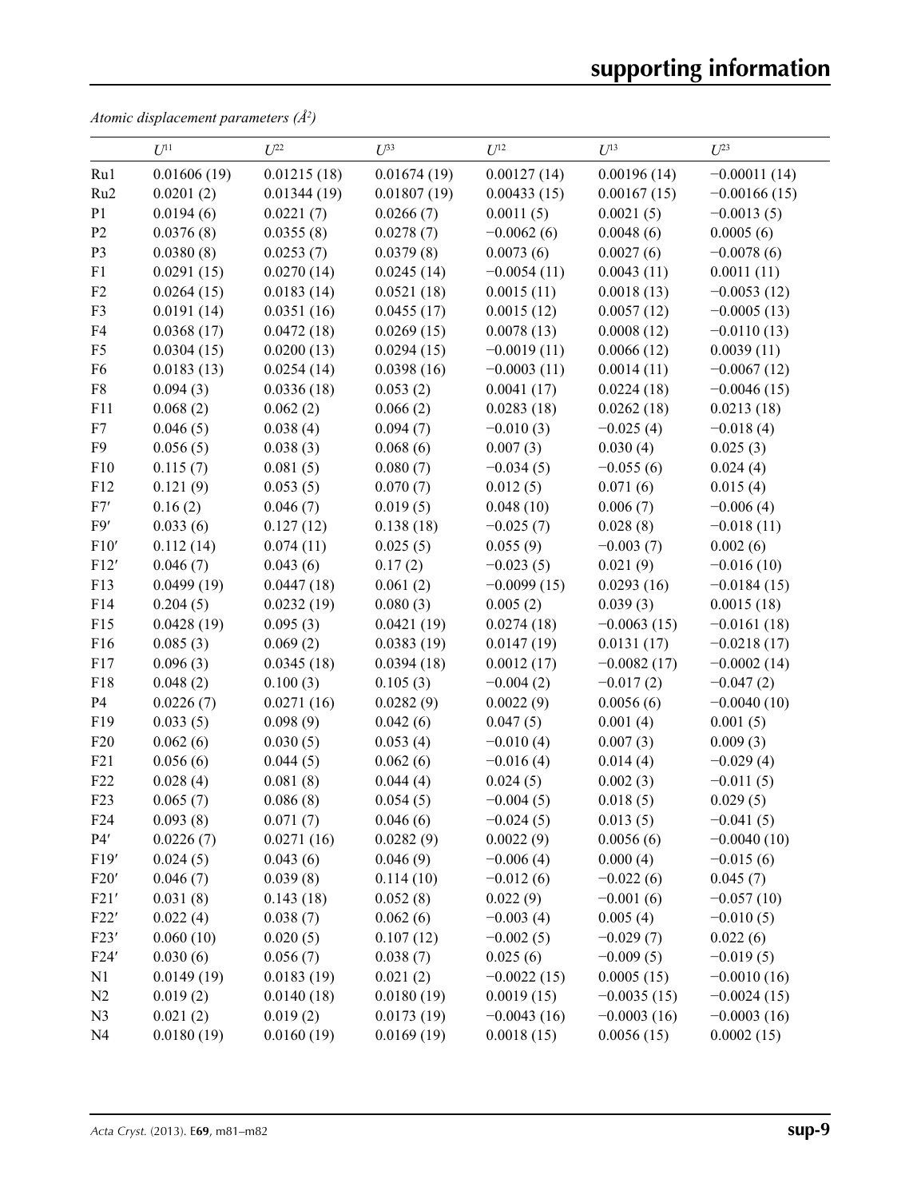*Atomic displacement parameters (Å2 )*

|                 | $U^{11}$    | $U^{22}$    | $U^{33}$    | $\mathfrak{U}^\mathrm{12}$ | $U^{13}$      | $U^{23}$       |
|-----------------|-------------|-------------|-------------|----------------------------|---------------|----------------|
| Ru1             | 0.01606(19) | 0.01215(18) | 0.01674(19) | 0.00127(14)                | 0.00196(14)   | $-0.00011(14)$ |
| Ru <sub>2</sub> | 0.0201(2)   | 0.01344(19) | 0.01807(19) | 0.00433(15)                | 0.00167(15)   | $-0.00166(15)$ |
| P <sub>1</sub>  | 0.0194(6)   | 0.0221(7)   | 0.0266(7)   | 0.0011(5)                  | 0.0021(5)     | $-0.0013(5)$   |
| P <sub>2</sub>  | 0.0376(8)   | 0.0355(8)   | 0.0278(7)   | $-0.0062(6)$               | 0.0048(6)     | 0.0005(6)      |
| P <sub>3</sub>  | 0.0380(8)   | 0.0253(7)   | 0.0379(8)   | 0.0073(6)                  | 0.0027(6)     | $-0.0078(6)$   |
| F1              | 0.0291(15)  | 0.0270(14)  | 0.0245(14)  | $-0.0054(11)$              | 0.0043(11)    | 0.0011(11)     |
| F2              | 0.0264(15)  | 0.0183(14)  | 0.0521(18)  | 0.0015(11)                 | 0.0018(13)    | $-0.0053(12)$  |
| F3              | 0.0191(14)  | 0.0351(16)  | 0.0455(17)  | 0.0015(12)                 | 0.0057(12)    | $-0.0005(13)$  |
| F4              | 0.0368(17)  | 0.0472(18)  | 0.0269(15)  | 0.0078(13)                 | 0.0008(12)    | $-0.0110(13)$  |
| F <sub>5</sub>  | 0.0304(15)  | 0.0200(13)  | 0.0294(15)  | $-0.0019(11)$              | 0.0066(12)    | 0.0039(11)     |
| F <sub>6</sub>  | 0.0183(13)  | 0.0254(14)  | 0.0398(16)  | $-0.0003(11)$              | 0.0014(11)    | $-0.0067(12)$  |
| ${\rm F}8$      | 0.094(3)    | 0.0336(18)  | 0.053(2)    | 0.0041(17)                 | 0.0224(18)    | $-0.0046(15)$  |
| F11             | 0.068(2)    | 0.062(2)    | 0.066(2)    | 0.0283(18)                 | 0.0262(18)    | 0.0213(18)     |
| F7              | 0.046(5)    | 0.038(4)    | 0.094(7)    | $-0.010(3)$                | $-0.025(4)$   | $-0.018(4)$    |
| F <sub>9</sub>  | 0.056(5)    | 0.038(3)    | 0.068(6)    | 0.007(3)                   | 0.030(4)      | 0.025(3)       |
| F10             | 0.115(7)    | 0.081(5)    | 0.080(7)    | $-0.034(5)$                | $-0.055(6)$   | 0.024(4)       |
| F12             | 0.121(9)    | 0.053(5)    | 0.070(7)    | 0.012(5)                   | 0.071(6)      | 0.015(4)       |
| ${\rm F}7'$     | 0.16(2)     | 0.046(7)    | 0.019(5)    | 0.048(10)                  | 0.006(7)      | $-0.006(4)$    |
| F9'             | 0.033(6)    | 0.127(12)   | 0.138(18)   | $-0.025(7)$                | 0.028(8)      | $-0.018(11)$   |
| F10'            | 0.112(14)   | 0.074(11)   | 0.025(5)    | 0.055(9)                   | $-0.003(7)$   | 0.002(6)       |
| F12'            | 0.046(7)    | 0.043(6)    | 0.17(2)     | $-0.023(5)$                | 0.021(9)      | $-0.016(10)$   |
| F13             | 0.0499(19)  | 0.0447(18)  | 0.061(2)    | $-0.0099(15)$              | 0.0293(16)    | $-0.0184(15)$  |
| F14             | 0.204(5)    | 0.0232(19)  | 0.080(3)    | 0.005(2)                   | 0.039(3)      | 0.0015(18)     |
| F15             | 0.0428(19)  | 0.095(3)    | 0.0421(19)  | 0.0274(18)                 | $-0.0063(15)$ | $-0.0161(18)$  |
| F16             | 0.085(3)    | 0.069(2)    | 0.0383(19)  | 0.0147(19)                 | 0.0131(17)    | $-0.0218(17)$  |
| F17             | 0.096(3)    | 0.0345(18)  | 0.0394(18)  | 0.0012(17)                 | $-0.0082(17)$ | $-0.0002(14)$  |
| F18             | 0.048(2)    | 0.100(3)    | 0.105(3)    | $-0.004(2)$                | $-0.017(2)$   | $-0.047(2)$    |
| P4              | 0.0226(7)   | 0.0271(16)  | 0.0282(9)   | 0.0022(9)                  | 0.0056(6)     | $-0.0040(10)$  |
| F19             | 0.033(5)    | 0.098(9)    | 0.042(6)    | 0.047(5)                   | 0.001(4)      | 0.001(5)       |
| F20             | 0.062(6)    | 0.030(5)    | 0.053(4)    | $-0.010(4)$                | 0.007(3)      | 0.009(3)       |
| F21             | 0.056(6)    | 0.044(5)    | 0.062(6)    | $-0.016(4)$                | 0.014(4)      | $-0.029(4)$    |
| F <sub>22</sub> | 0.028(4)    | 0.081(8)    | 0.044(4)    | 0.024(5)                   | 0.002(3)      | $-0.011(5)$    |
| F23             | 0.065(7)    | 0.086(8)    | 0.054(5)    | $-0.004(5)$                | 0.018(5)      | 0.029(5)       |
| F <sub>24</sub> | 0.093(8)    | 0.071(7)    | 0.046(6)    | $-0.024(5)$                | 0.013(5)      | $-0.041(5)$    |
| $P4'$           | 0.0226(7)   | 0.0271(16)  | 0.0282(9)   | 0.0022(9)                  | 0.0056(6)     | $-0.0040(10)$  |
| F19'            | 0.024(5)    | 0.043(6)    | 0.046(9)    | $-0.006(4)$                | 0.000(4)      | $-0.015(6)$    |
| F20'            | 0.046(7)    | 0.039(8)    | 0.114(10)   | $-0.012(6)$                | $-0.022(6)$   | 0.045(7)       |
| F21'            | 0.031(8)    | 0.143(18)   | 0.052(8)    | 0.022(9)                   | $-0.001(6)$   | $-0.057(10)$   |
| F22'            | 0.022(4)    | 0.038(7)    | 0.062(6)    | $-0.003(4)$                | 0.005(4)      | $-0.010(5)$    |
| F23'            | 0.060(10)   | 0.020(5)    | 0.107(12)   | $-0.002(5)$                | $-0.029(7)$   | 0.022(6)       |
| F24'            | 0.030(6)    | 0.056(7)    | 0.038(7)    | 0.025(6)                   | $-0.009(5)$   | $-0.019(5)$    |
| N1              | 0.0149(19)  | 0.0183(19)  | 0.021(2)    | $-0.0022(15)$              | 0.0005(15)    | $-0.0010(16)$  |
| N2              | 0.019(2)    | 0.0140(18)  | 0.0180(19)  | 0.0019(15)                 | $-0.0035(15)$ | $-0.0024(15)$  |
| N <sub>3</sub>  | 0.021(2)    | 0.019(2)    | 0.0173(19)  | $-0.0043(16)$              | $-0.0003(16)$ | $-0.0003(16)$  |
| N <sub>4</sub>  | 0.0180(19)  | 0.0160(19)  | 0.0169(19)  | 0.0018(15)                 | 0.0056(15)    | 0.0002(15)     |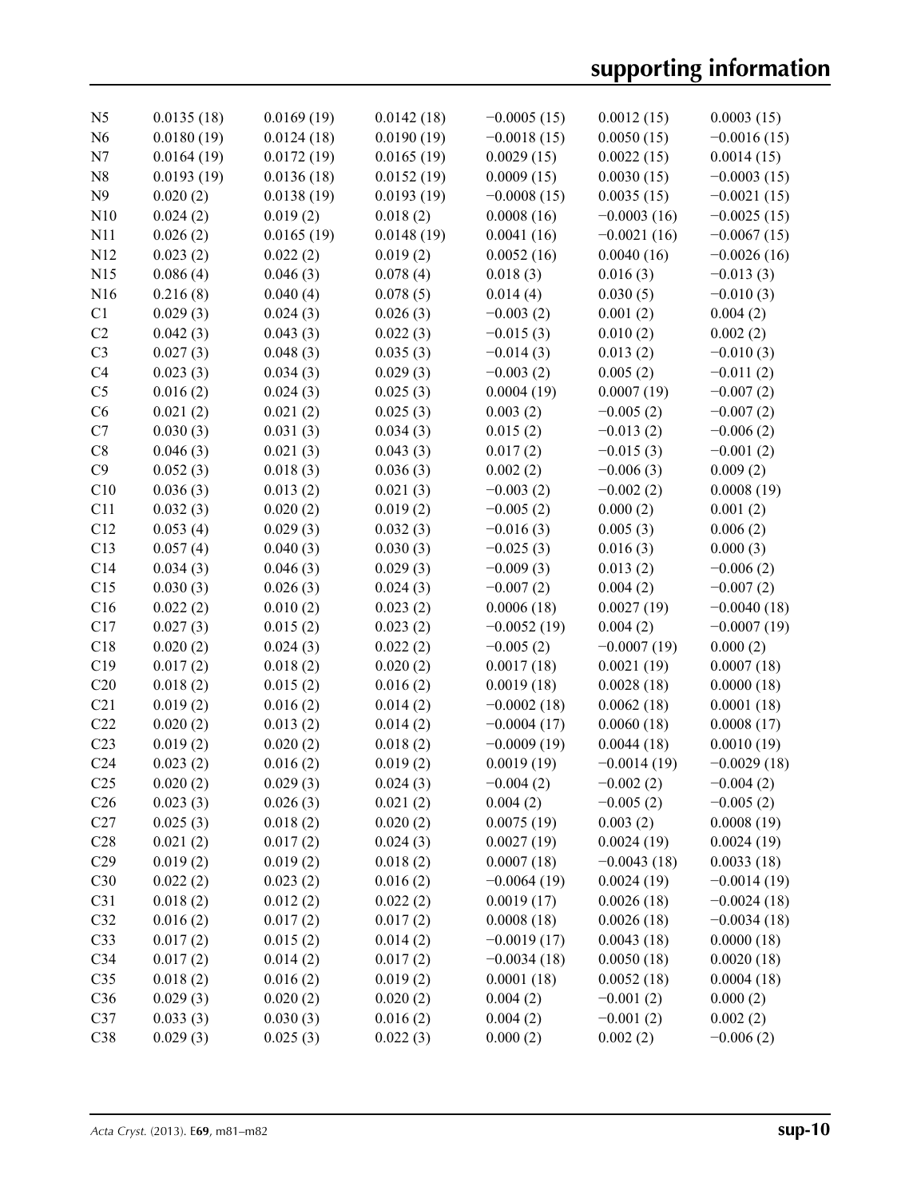| N <sub>5</sub>  | 0.0135(18) | 0.0169(19) | 0.0142(18) | $-0.0005(15)$ | 0.0012(15)    | 0.0003(15)    |
|-----------------|------------|------------|------------|---------------|---------------|---------------|
| N <sub>6</sub>  | 0.0180(19) | 0.0124(18) | 0.0190(19) | $-0.0018(15)$ | 0.0050(15)    | $-0.0016(15)$ |
| N7              | 0.0164(19) | 0.0172(19) | 0.0165(19) | 0.0029(15)    | 0.0022(15)    | 0.0014(15)    |
| N8              | 0.0193(19) | 0.0136(18) | 0.0152(19) | 0.0009(15)    | 0.0030(15)    | $-0.0003(15)$ |
| N9              | 0.020(2)   | 0.0138(19) | 0.0193(19) | $-0.0008(15)$ | 0.0035(15)    | $-0.0021(15)$ |
| N10             | 0.024(2)   | 0.019(2)   | 0.018(2)   | 0.0008(16)    | $-0.0003(16)$ | $-0.0025(15)$ |
| N11             | 0.026(2)   | 0.0165(19) | 0.0148(19) | 0.0041(16)    | $-0.0021(16)$ | $-0.0067(15)$ |
| N12             | 0.023(2)   | 0.022(2)   | 0.019(2)   | 0.0052(16)    | 0.0040(16)    | $-0.0026(16)$ |
| N15             | 0.086(4)   | 0.046(3)   | 0.078(4)   | 0.018(3)      | 0.016(3)      | $-0.013(3)$   |
| N16             | 0.216(8)   | 0.040(4)   | 0.078(5)   | 0.014(4)      | 0.030(5)      | $-0.010(3)$   |
| C <sub>1</sub>  | 0.029(3)   | 0.024(3)   | 0.026(3)   | $-0.003(2)$   | 0.001(2)      | 0.004(2)      |
| C2              | 0.042(3)   | 0.043(3)   | 0.022(3)   | $-0.015(3)$   | 0.010(2)      | 0.002(2)      |
| C <sub>3</sub>  | 0.027(3)   | 0.048(3)   | 0.035(3)   | $-0.014(3)$   | 0.013(2)      | $-0.010(3)$   |
| C <sub>4</sub>  | 0.023(3)   | 0.034(3)   | 0.029(3)   | $-0.003(2)$   | 0.005(2)      | $-0.011(2)$   |
| C <sub>5</sub>  | 0.016(2)   | 0.024(3)   | 0.025(3)   | 0.0004(19)    | 0.0007(19)    | $-0.007(2)$   |
| C6              | 0.021(2)   | 0.021(2)   | 0.025(3)   | 0.003(2)      | $-0.005(2)$   | $-0.007(2)$   |
| C7              | 0.030(3)   | 0.031(3)   | 0.034(3)   | 0.015(2)      | $-0.013(2)$   | $-0.006(2)$   |
| C8              | 0.046(3)   | 0.021(3)   | 0.043(3)   | 0.017(2)      | $-0.015(3)$   | $-0.001(2)$   |
| C9              | 0.052(3)   | 0.018(3)   | 0.036(3)   | 0.002(2)      | $-0.006(3)$   | 0.009(2)      |
| C10             | 0.036(3)   | 0.013(2)   | 0.021(3)   | $-0.003(2)$   | $-0.002(2)$   | 0.0008(19)    |
| C11             | 0.032(3)   | 0.020(2)   | 0.019(2)   | $-0.005(2)$   | 0.000(2)      | 0.001(2)      |
| C12             | 0.053(4)   | 0.029(3)   | 0.032(3)   | $-0.016(3)$   | 0.005(3)      | 0.006(2)      |
| C13             | 0.057(4)   | 0.040(3)   | 0.030(3)   | $-0.025(3)$   | 0.016(3)      | 0.000(3)      |
| C14             | 0.034(3)   | 0.046(3)   | 0.029(3)   | $-0.009(3)$   | 0.013(2)      | $-0.006(2)$   |
| C15             | 0.030(3)   | 0.026(3)   | 0.024(3)   | $-0.007(2)$   | 0.004(2)      | $-0.007(2)$   |
| C16             | 0.022(2)   | 0.010(2)   | 0.023(2)   | 0.0006(18)    | 0.0027(19)    | $-0.0040(18)$ |
| C17             | 0.027(3)   | 0.015(2)   | 0.023(2)   | $-0.0052(19)$ | 0.004(2)      | $-0.0007(19)$ |
| C18             | 0.020(2)   | 0.024(3)   | 0.022(2)   | $-0.005(2)$   | $-0.0007(19)$ | 0.000(2)      |
| C19             | 0.017(2)   | 0.018(2)   | 0.020(2)   | 0.0017(18)    | 0.0021(19)    | 0.0007(18)    |
| C20             | 0.018(2)   | 0.015(2)   | 0.016(2)   | 0.0019(18)    | 0.0028(18)    | 0.0000(18)    |
| C21             | 0.019(2)   | 0.016(2)   | 0.014(2)   | $-0.0002(18)$ | 0.0062(18)    | 0.0001(18)    |
| C22             | 0.020(2)   | 0.013(2)   | 0.014(2)   | $-0.0004(17)$ | 0.0060(18)    | 0.0008(17)    |
| C <sub>23</sub> | 0.019(2)   | 0.020(2)   | 0.018(2)   | $-0.0009(19)$ | 0.0044(18)    | 0.0010(19)    |
| C <sub>24</sub> | 0.023(2)   | 0.016(2)   | 0.019(2)   | 0.0019(19)    | $-0.0014(19)$ | $-0.0029(18)$ |
| C <sub>25</sub> | 0.020(2)   | 0.029(3)   | 0.024(3)   | $-0.004(2)$   | $-0.002(2)$   | $-0.004(2)$   |
| C <sub>26</sub> | 0.023(3)   | 0.026(3)   | 0.021(2)   | 0.004(2)      | $-0.005(2)$   | $-0.005(2)$   |
| C27             | 0.025(3)   | 0.018(2)   | 0.020(2)   | 0.0075(19)    | 0.003(2)      | 0.0008(19)    |
| C28             | 0.021(2)   | 0.017(2)   | 0.024(3)   | 0.0027(19)    | 0.0024(19)    | 0.0024(19)    |
| C29             | 0.019(2)   | 0.019(2)   | 0.018(2)   | 0.0007(18)    | $-0.0043(18)$ | 0.0033(18)    |
| C30             | 0.022(2)   | 0.023(2)   | 0.016(2)   | $-0.0064(19)$ | 0.0024(19)    | $-0.0014(19)$ |
| C31             | 0.018(2)   | 0.012(2)   | 0.022(2)   | 0.0019(17)    | 0.0026(18)    | $-0.0024(18)$ |
| C32             | 0.016(2)   | 0.017(2)   | 0.017(2)   | 0.0008(18)    | 0.0026(18)    | $-0.0034(18)$ |
| C33             | 0.017(2)   | 0.015(2)   | 0.014(2)   | $-0.0019(17)$ | 0.0043(18)    | 0.0000(18)    |
| C34             |            |            |            |               |               |               |
| C <sub>35</sub> | 0.017(2)   | 0.014(2)   | 0.017(2)   | $-0.0034(18)$ | 0.0050(18)    | 0.0020(18)    |
| C36             | 0.018(2)   | 0.016(2)   | 0.019(2)   | 0.0001(18)    | 0.0052(18)    | 0.0004(18)    |
|                 | 0.029(3)   | 0.020(2)   | 0.020(2)   | 0.004(2)      | $-0.001(2)$   | 0.000(2)      |
| C37             | 0.033(3)   | 0.030(3)   | 0.016(2)   | 0.004(2)      | $-0.001(2)$   | 0.002(2)      |
| C38             | 0.029(3)   | 0.025(3)   | 0.022(3)   | 0.000(2)      | 0.002(2)      | $-0.006(2)$   |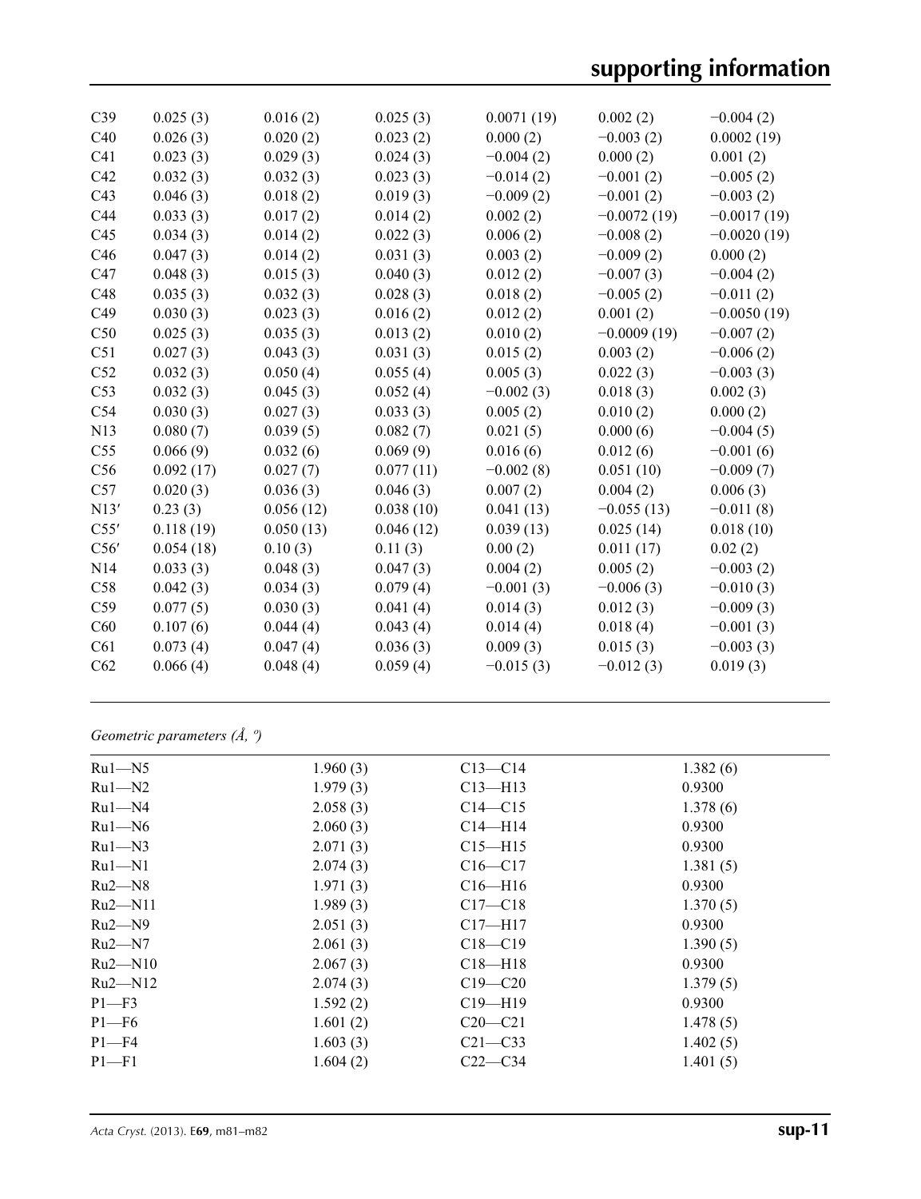# **supporting information**

| C39             | 0.025(3)  | 0.016(2)  | 0.025(3)  | 0.0071(19)  | 0.002(2)      | $-0.004(2)$   |
|-----------------|-----------|-----------|-----------|-------------|---------------|---------------|
| C40             | 0.026(3)  | 0.020(2)  | 0.023(2)  | 0.000(2)    | $-0.003(2)$   | 0.0002(19)    |
| C <sub>41</sub> | 0.023(3)  | 0.029(3)  | 0.024(3)  | $-0.004(2)$ | 0.000(2)      | 0.001(2)      |
| C42             | 0.032(3)  | 0.032(3)  | 0.023(3)  | $-0.014(2)$ | $-0.001(2)$   | $-0.005(2)$   |
| C43             | 0.046(3)  | 0.018(2)  | 0.019(3)  | $-0.009(2)$ | $-0.001(2)$   | $-0.003(2)$   |
| C44             | 0.033(3)  | 0.017(2)  | 0.014(2)  | 0.002(2)    | $-0.0072(19)$ | $-0.0017(19)$ |
| C45             | 0.034(3)  | 0.014(2)  | 0.022(3)  | 0.006(2)    | $-0.008(2)$   | $-0.0020(19)$ |
| C46             | 0.047(3)  | 0.014(2)  | 0.031(3)  | 0.003(2)    | $-0.009(2)$   | 0.000(2)      |
| C47             | 0.048(3)  | 0.015(3)  | 0.040(3)  | 0.012(2)    | $-0.007(3)$   | $-0.004(2)$   |
| C48             | 0.035(3)  | 0.032(3)  | 0.028(3)  | 0.018(2)    | $-0.005(2)$   | $-0.011(2)$   |
| C49             | 0.030(3)  | 0.023(3)  | 0.016(2)  | 0.012(2)    | 0.001(2)      | $-0.0050(19)$ |
| C50             | 0.025(3)  | 0.035(3)  | 0.013(2)  | 0.010(2)    | $-0.0009(19)$ | $-0.007(2)$   |
| C51             | 0.027(3)  | 0.043(3)  | 0.031(3)  | 0.015(2)    | 0.003(2)      | $-0.006(2)$   |
| C52             | 0.032(3)  | 0.050(4)  | 0.055(4)  | 0.005(3)    | 0.022(3)      | $-0.003(3)$   |
| C53             | 0.032(3)  | 0.045(3)  | 0.052(4)  | $-0.002(3)$ | 0.018(3)      | 0.002(3)      |
| C54             | 0.030(3)  | 0.027(3)  | 0.033(3)  | 0.005(2)    | 0.010(2)      | 0.000(2)      |
| N13             | 0.080(7)  | 0.039(5)  | 0.082(7)  | 0.021(5)    | 0.000(6)      | $-0.004(5)$   |
| C55             | 0.066(9)  | 0.032(6)  | 0.069(9)  | 0.016(6)    | 0.012(6)      | $-0.001(6)$   |
| C56             | 0.092(17) | 0.027(7)  | 0.077(11) | $-0.002(8)$ | 0.051(10)     | $-0.009(7)$   |
| C57             | 0.020(3)  | 0.036(3)  | 0.046(3)  | 0.007(2)    | 0.004(2)      | 0.006(3)      |
| N13'            | 0.23(3)   | 0.056(12) | 0.038(10) | 0.041(13)   | $-0.055(13)$  | $-0.011(8)$   |
| C55'            | 0.118(19) | 0.050(13) | 0.046(12) | 0.039(13)   | 0.025(14)     | 0.018(10)     |
| C56'            | 0.054(18) | 0.10(3)   | 0.11(3)   | 0.00(2)     | 0.011(17)     | 0.02(2)       |
| N14             | 0.033(3)  | 0.048(3)  | 0.047(3)  | 0.004(2)    | 0.005(2)      | $-0.003(2)$   |
| C58             | 0.042(3)  | 0.034(3)  | 0.079(4)  | $-0.001(3)$ | $-0.006(3)$   | $-0.010(3)$   |
| C59             | 0.077(5)  | 0.030(3)  | 0.041(4)  | 0.014(3)    | 0.012(3)      | $-0.009(3)$   |
| C60             | 0.107(6)  | 0.044(4)  | 0.043(4)  | 0.014(4)    | 0.018(4)      | $-0.001(3)$   |
| C61             | 0.073(4)  | 0.047(4)  | 0.036(3)  | 0.009(3)    | 0.015(3)      | $-0.003(3)$   |
| C62             | 0.066(4)  | 0.048(4)  | 0.059(4)  | $-0.015(3)$ | $-0.012(3)$   | 0.019(3)      |
|                 |           |           |           |             |               |               |

*Geometric parameters (Å, º)*

| $Ru1 - N5$ | 1.960(3) | $C13 - C14$ | 1.382(6) |
|------------|----------|-------------|----------|
| $Ru1 - N2$ | 1.979(3) | $C13 - H13$ | 0.9300   |
| $Ru1 - N4$ | 2.058(3) | $C14 - C15$ | 1.378(6) |
| $Ru1 - N6$ | 2.060(3) | $C14 - H14$ | 0.9300   |
| $Ru1 - N3$ | 2.071(3) | $C15 - H15$ | 0.9300   |
| $Ru1-M1$   | 2.074(3) | $C16 - C17$ | 1.381(5) |
| $Ru2 - N8$ | 1.971(3) | $C16 - H16$ | 0.9300   |
| $Ru2-M11$  | 1.989(3) | $C17 - C18$ | 1.370(5) |
| $Ru2 - N9$ | 2.051(3) | $C17 - H17$ | 0.9300   |
| $Ru2 - N7$ | 2.061(3) | $C18 - C19$ | 1.390(5) |
| $Ru2-M10$  | 2.067(3) | $C18 - H18$ | 0.9300   |
| $Ru2-M12$  | 2.074(3) | $C19 - C20$ | 1.379(5) |
| $P1 - F3$  | 1.592(2) | $C19 - H19$ | 0.9300   |
| $P1 - F6$  | 1.601(2) | $C20-C21$   | 1.478(5) |
| $P1 - F4$  | 1.603(3) | $C21 - C33$ | 1.402(5) |
| $P1 - F1$  | 1.604(2) | $C22-C34$   | 1.401(5) |
|            |          |             |          |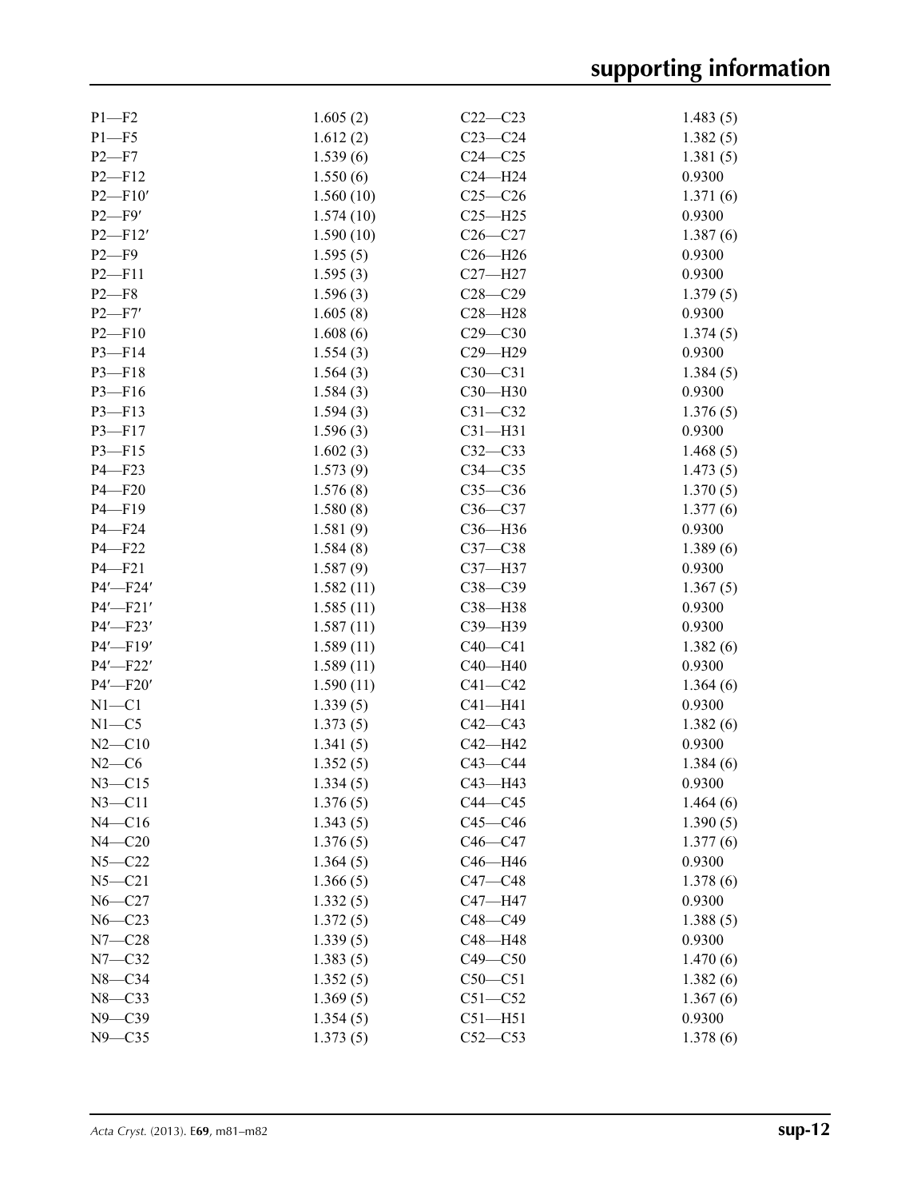| $P1 - F2$   | 1.605(2)  | $C22-C23$   | 1.483(5) |
|-------------|-----------|-------------|----------|
| $P1 - F5$   | 1.612(2)  | $C23-C24$   | 1.382(5) |
| $P2-F7$     | 1.539(6)  | $C24 - C25$ | 1.381(5) |
| $P2 - F12$  | 1.550(6)  | $C24 - H24$ | 0.9300   |
| $P2 - F10'$ | 1.560(10) | $C25-C26$   | 1.371(6) |
| $P2-F9'$    | 1.574(10) | $C25 - H25$ | 0.9300   |
| $P2 - F12'$ | 1.590(10) | $C26 - C27$ | 1.387(6) |
| $P2-F9$     | 1.595(5)  | $C26 - H26$ | 0.9300   |
| $P2 - F11$  | 1.595(3)  | $C27 - H27$ | 0.9300   |
| $P2 - F8$   | 1.596(3)  | $C28 - C29$ | 1.379(5) |
| P2 F7'      | 1.605(8)  | $C28 - H28$ | 0.9300   |
| $P2 - F10$  | 1.608(6)  | $C29 - C30$ | 1.374(5) |
| $P3 - F14$  |           | $C29 - H29$ | 0.9300   |
|             | 1.554(3)  |             |          |
| $P3 - F18$  | 1.564(3)  | $C30 - C31$ | 1.384(5) |
| $P3 - F16$  | 1.584(3)  | $C30 - H30$ | 0.9300   |
| $P3 - F13$  | 1.594(3)  | $C31 - C32$ | 1.376(5) |
| $P3 - F17$  | 1.596(3)  | $C31 - H31$ | 0.9300   |
| $P3 - F15$  | 1.602(3)  | $C32-C33$   | 1.468(5) |
| $P4 - F23$  | 1.573(9)  | $C34 - C35$ | 1.473(5) |
| $P4 - F20$  | 1.576(8)  | $C35-C36$   | 1.370(5) |
| $P4 - F19$  | 1.580(8)  | $C36-C37$   | 1.377(6) |
| $P4 - F24$  | 1.581(9)  | C36-H36     | 0.9300   |
| P4-F22      | 1.584(8)  | $C37-C38$   | 1.389(6) |
| $P4 - F21$  | 1.587(9)  | C37-H37     | 0.9300   |
| P4'-F24'    | 1.582(11) | $C38 - C39$ | 1.367(5) |
| $P4'$ -F21' | 1.585(11) | $C38 - H38$ | 0.9300   |
| $P4'$ —F23' | 1.587(11) | C39-H39     | 0.9300   |
| P4'-F19'    | 1.589(11) | $C40-C41$   | 1.382(6) |
| P4'-F22'    | 1.589(11) | $C40 - H40$ | 0.9300   |
| P4'-F20'    | 1.590(11) | $C41 - C42$ | 1.364(6) |
| $N1 - C1$   | 1.339(5)  | $C41 - H41$ | 0.9300   |
| $N1 - C5$   | 1.373(5)  | $C42 - C43$ | 1.382(6) |
| $N2 - C10$  | 1.341(5)  | $C42 - H42$ | 0.9300   |
| $N2-C6$     | 1.352(5)  | $C43-C44$   | 1.384(6) |
| $N3 - C15$  | 1.334(5)  | C43-H43     | 0.9300   |
| $N3$ —C11   | 1.376(5)  | $C44 - C45$ | 1.464(6) |
| $N4 - C16$  | 1.343(5)  | $C45 - C46$ | 1.390(5) |
| $N4 - C20$  | 1.376(5)  | $C46-C47$   | 1.377(6) |
| $N5 - C22$  | 1.364(5)  | $C46 - H46$ | 0.9300   |
| $N5 - C21$  | 1.366(5)  | $C47 - C48$ | 1.378(6) |
| $N6 - C27$  | 1.332(5)  | C47-H47     | 0.9300   |
| $N6 - C23$  | 1.372(5)  | $C48 - C49$ | 1.388(5) |
| $N7 - C28$  | 1.339(5)  | C48-H48     | 0.9300   |
|             |           | $C49 - C50$ |          |
| $N7 - C32$  | 1.383(5)  |             | 1.470(6) |
| $N8-C34$    | 1.352(5)  | $C50-C51$   | 1.382(6) |
| $N8 - C33$  | 1.369(5)  | $C51 - C52$ | 1.367(6) |
| $N9 - C39$  | 1.354(5)  | $C51 - H51$ | 0.9300   |
| $N9 - C35$  | 1.373(5)  | $C52-C53$   | 1.378(6) |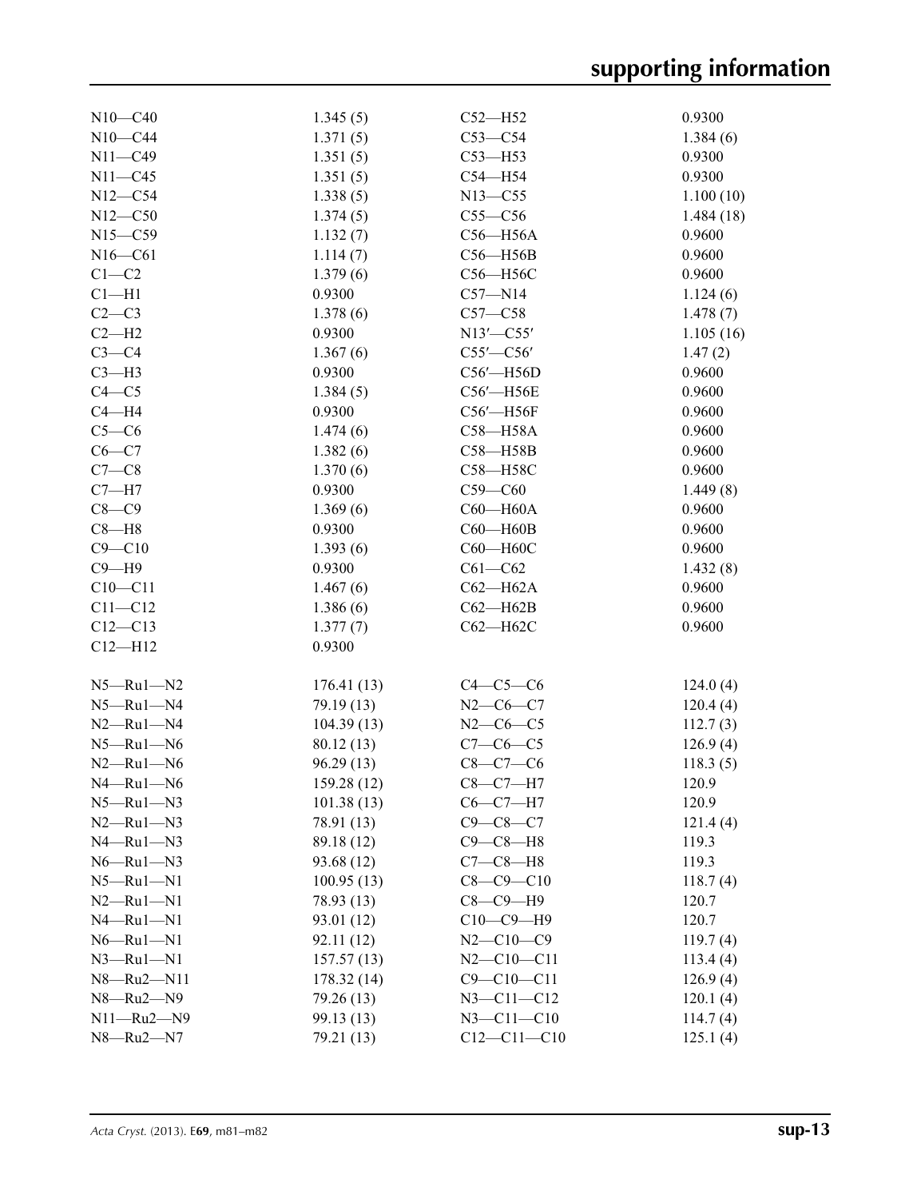| $N10 - C40$         | 1.345(5)   | $C52 - H52$       | 0.9300    |
|---------------------|------------|-------------------|-----------|
| $N10 - C44$         | 1.371(5)   | $C53-C54$         | 1.384(6)  |
| $N11 - C49$         | 1.351(5)   | $C53 - H53$       | 0.9300    |
| $N11 - C45$         | 1.351(5)   | $C54 - H54$       | 0.9300    |
| $N12 - C54$         | 1.338(5)   | $N13 - C55$       | 1.100(10) |
| $N12 - C50$         | 1.374(5)   | $C55-C56$         | 1.484(18) |
| $N15 - C59$         | 1.132(7)   | $C56 - H56A$      | 0.9600    |
| $N16 - C61$         | 1.114(7)   | $C56 - H56B$      | 0.9600    |
| $C1-C2$             | 1.379(6)   | C56-H56C          | 0.9600    |
| $Cl-H1$             | 0.9300     | $C57 - N14$       | 1.124(6)  |
| $C2-C3$             | 1.378(6)   | $C57 - C58$       | 1.478(7)  |
| $C2-H2$             | 0.9300     | $N13'$ –C55'      |           |
|                     |            |                   | 1.105(16) |
| $C3-C4$             | 1.367(6)   | $C55'$ - $C56'$   | 1.47(2)   |
| $C3-H3$             | 0.9300     | $C56'$ -H56D      | 0.9600    |
| $C4 - C5$           | 1.384(5)   | C56'-H56E         | 0.9600    |
| $C4 - H4$           | 0.9300     | C56'-H56F         | 0.9600    |
| $C5-C6$             | 1.474(6)   | C58-H58A          | 0.9600    |
| $C6-C7$             | 1.382(6)   | C58-H58B          | 0.9600    |
| $C7-C8$             | 1.370(6)   | C58-H58C          | 0.9600    |
| $C7 - H7$           | 0.9300     | $C59-C60$         | 1.449(8)  |
| $C8-C9$             | 1.369(6)   | $C60 - H60A$      | 0.9600    |
| $C8 - H8$           | 0.9300     | $C60 - H60B$      | 0.9600    |
| $C9 - C10$          | 1.393(6)   | С60-Н60С          | 0.9600    |
| $C9 - H9$           | 0.9300     | $C61 - C62$       | 1.432(8)  |
| $C10 - C11$         | 1.467(6)   | $C62 - H62A$      | 0.9600    |
| $C11 - C12$         | 1.386(6)   | $C62 - H62B$      | 0.9600    |
| $C12 - C13$         | 1.377(7)   | $C62 - H62C$      | 0.9600    |
| $C12 - H12$         | 0.9300     |                   |           |
|                     |            |                   |           |
| $N5 - Ru1 - N2$     | 176.41(13) | $C4-C5-C6$        | 124.0(4)  |
| $N5 - Ru1 - N4$     | 79.19 (13) | $N2-C6-C7$        | 120.4(4)  |
| $N2 - Ru1 - N4$     | 104.39(13) | $N2-C6-C5$        |           |
|                     |            | $C7-C6-C5$        | 112.7(3)  |
| $N5 - Ru1 - N6$     | 80.12 (13) |                   | 126.9(4)  |
| $N2 - Ru1 - N6$     | 96.29(13)  | $C8-C7-C6$        | 118.3(5)  |
| $N4 - Ru1 - N6$     | 159.28(12) | $C8-C7-H7$        | 120.9     |
| $N5$ —Ru $1$ —N $3$ | 101.38(13) | $C6-C7-H7$        | 120.9     |
| $N2 - Ru1 - N3$     | 78.91 (13) | $C9 - C8 - C7$    | 121.4(4)  |
| $N4 - Ru1 - N3$     | 89.18 (12) | $C9-C8-H8$        | 119.3     |
| $N6 - Ru1 - N3$     | 93.68 (12) | $C7-C8-H8$        | 119.3     |
| $N5 - Ru1 - N1$     | 100.95(13) | $C8 - C9 - C10$   | 118.7(4)  |
| $N2$ —Ru $1$ —N $1$ | 78.93 (13) | $C8-C9-H9$        | 120.7     |
| $N4 - Ru1 - N1$     | 93.01 (12) | $C10-C9-H9$       | 120.7     |
| $N6 - Ru1 - N1$     | 92.11 (12) | $N2 - C10 - C9$   | 119.7(4)  |
| $N3$ -Ru $1$ -N1    | 157.57(13) | $N2 - C10 - C11$  | 113.4(4)  |
| N8-Ru2-N11          | 178.32(14) | $C9 - C10 - C11$  | 126.9(4)  |
| $N8 - Ru2 - N9$     | 79.26 (13) | $N3 - C11 - C12$  | 120.1(4)  |
| $N11 - Ru2 - N9$    | 99.13 (13) | $N3 - C11 - C10$  | 114.7(4)  |
| N8-Ru2-N7           | 79.21 (13) | $C12 - C11 - C10$ | 125.1(4)  |
|                     |            |                   |           |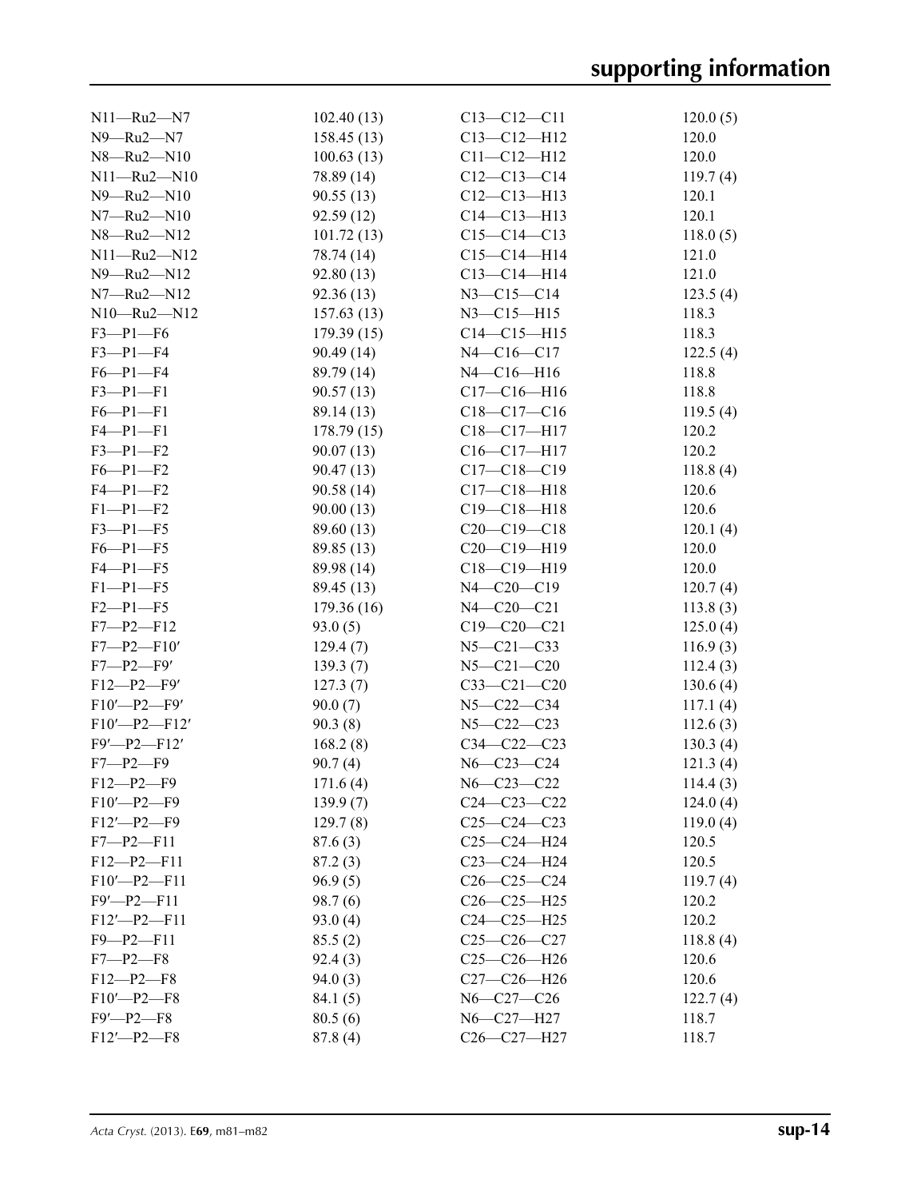| $N11 - Ru2 - N7$      | 102.40(13) | $C13 - C12 - C11$ | 120.0(5) |
|-----------------------|------------|-------------------|----------|
| $N9 - Ru2 - N7$       | 158.45(13) | $C13 - C12 - H12$ | 120.0    |
| $N8 - Ru2 - N10$      | 100.63(13) | $C11 - C12 - H12$ | 120.0    |
| $N11 - Ru2 - N10$     | 78.89 (14) | $C12-C13-C14$     | 119.7(4) |
| $N9 - Ru2 - N10$      | 90.55(13)  | $C12-C13-H13$     | 120.1    |
| $N7 - Ru2 - N10$      | 92.59(12)  | $C14 - C13 - H13$ | 120.1    |
| $N8 - Ru2 - N12$      | 101.72(13) | $C15-C14-C13$     | 118.0(5) |
| $N11 - Ru2 - N12$     | 78.74 (14) | $C15 - C14 - H14$ | 121.0    |
| N9-Ru2-N12            | 92.80(13)  | $C13 - C14 - H14$ | 121.0    |
| $N7 - Ru2 - N12$      | 92.36(13)  | $N3 - C15 - C14$  | 123.5(4) |
| $N10 - Ru2 - N12$     | 157.63(13) | $N3 - C15 - H15$  | 118.3    |
| $F3-P1-F6$            | 179.39(15) | $C14 - C15 - H15$ | 118.3    |
| $F3-P1-F4$            | 90.49(14)  | $N4 - C16 - C17$  | 122.5(4) |
| $F6-P1-F4$            | 89.79 (14) | $N4 - C16 - H16$  | 118.8    |
| $F3 - P1 - F1$        | 90.57(13)  | $C17 - C16 - H16$ | 118.8    |
| $F6 - P1 - F1$        | 89.14 (13) | $C18 - C17 - C16$ | 119.5(4) |
| $F4 - P1 - F1$        | 178.79(15) | $C18 - C17 - H17$ | 120.2    |
| $F3 - P1 - F2$        | 90.07(13)  | $C16 - C17 - H17$ | 120.2    |
| $F6-P1-F2$            | 90.47(13)  | $C17 - C18 - C19$ | 118.8(4) |
| $F4 - P1 - F2$        | 90.58(14)  | $C17 - C18 - H18$ | 120.6    |
| $F1-P1-F2$            | 90.00(13)  | $C19 - C18 - H18$ | 120.6    |
| $F3 - P1 - F5$        | 89.60 (13) | $C20-C19-C18$     | 120.1(4) |
| $F6 - P1 - F5$        | 89.85 (13) | $C20-C19-H19$     | 120.0    |
| $F4 - P1 - F5$        | 89.98 (14) | $C18 - C19 - H19$ | 120.0    |
| $F1-P1-F5$            | 89.45 (13) | $N4 - C20 - C19$  | 120.7(4) |
| $F2 - P1 - F5$        | 179.36(16) | $N4 - C20 - C21$  | 113.8(3) |
| $F7 - P2 - F12$       | 93.0(5)    | $C19 - C20 - C21$ | 125.0(4) |
| $F7 - P2 - F10'$      | 129.4(7)   | $N5 - C21 - C33$  | 116.9(3) |
| $F7 - P2 - F9'$       | 139.3(7)   | $N5 - C21 - C20$  | 112.4(3) |
| $F12-P2-F9'$          | 127.3(7)   | $C33-C21-C20$     | 130.6(4) |
| $F10'$ -P2-F9'        | 90.0(7)    | $N5 - C22 - C34$  | 117.1(4) |
| $F10'$ -P2- $F12'$    | 90.3(8)    | $N5 - C22 - C23$  | 112.6(3) |
| $F9'$ - $P2$ - $F12'$ | 168.2(8)   | $C34 - C22 - C23$ | 130.3(4) |
| $F7 - P2 - F9$        | 90.7(4)    | $N6 - C23 - C24$  | 121.3(4) |
| $F12-P2-F9$           | 171.6(4)   | N6-C23-C22        | 114.4(3) |
| $F10'$ -P2-F9         | 139.9(7)   | $C24 - C23 - C22$ | 124.0(4) |
| $F12'$ -P2-F9         | 129.7(8)   | $C25-C24-C23$     | 119.0(4) |
| $F7 - P2 - F11$       | 87.6(3)    | $C25 - C24 - H24$ | 120.5    |
| $F12-P2-F11$          | 87.2(3)    | C23-C24-H24       | 120.5    |
| $F10'$ -P2- $F11$     | 96.9(5)    | $C26-C25-C24$     | 119.7(4) |
| $F9'$ - $P2$ - $F11$  | 98.7(6)    | $C26-C25-H25$     | 120.2    |
| $F12'$ -P2-F11        | 93.0(4)    | $C24 - C25 - H25$ | 120.2    |
| $F9 - P2 - F11$       | 85.5(2)    | $C25-C26-C27$     | 118.8(4) |
| $F7 - P2 - F8$        | 92.4(3)    | $C25-C26-H26$     | 120.6    |
| $F12 - P2 - F8$       | 94.0(3)    | $C27-C26-H26$     | 120.6    |
| $F10'$ -P2-F8         | 84.1(5)    | N6-C27-C26        | 122.7(4) |
| $F9'$ -P2- $F8$       | 80.5(6)    | N6-C27-H27        | 118.7    |
| $F12'$ -P2-F8         | 87.8(4)    | C26-C27-H27       | 118.7    |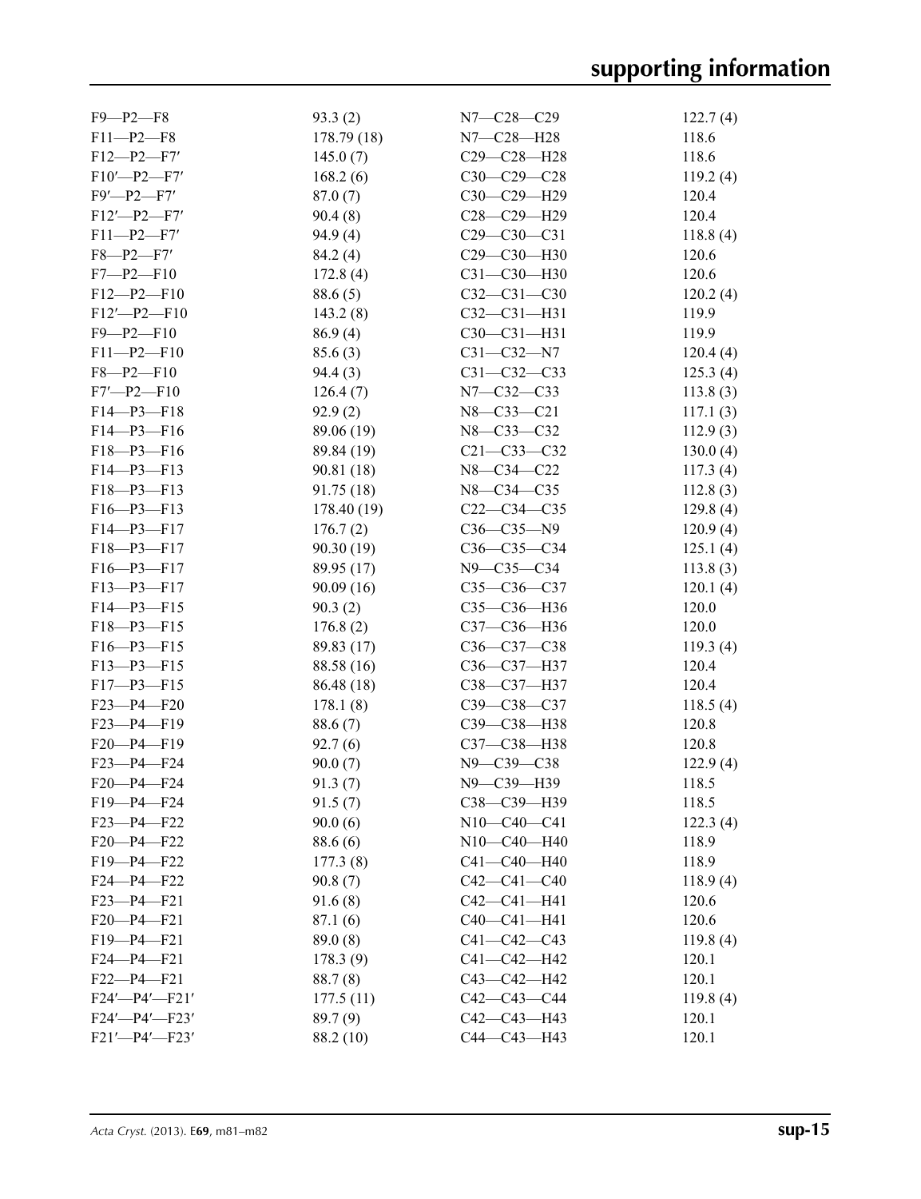| $F9 - P2 - F8$          | 93.3(2)     | $N7 - C28 - C29$  | 122.7(4) |
|-------------------------|-------------|-------------------|----------|
| $F11 - P2 - F8$         | 178.79 (18) | N7—C28—H28        | 118.6    |
| $F12-P2-F7'$            | 145.0(7)    | C29-C28-H28       | 118.6    |
| $F10'$ -P2-F7'          | 168.2(6)    | $C30-C29-C28$     | 119.2(4) |
| $F9'$ -P2- $F7'$        | 87.0(7)     | C30-C29-H29       | 120.4    |
| $F12'$ -P2-F7'          | 90.4(8)     | C28-C29-H29       | 120.4    |
| $F11-P2-F7'$            | 94.9(4)     | $C29 - C30 - C31$ | 118.8(4) |
| $F8 - P2 - F7'$         | 84.2 (4)    | C29-C30-H30       | 120.6    |
| $F7 - P2 - F10$         | 172.8(4)    | $C31 - C30 - H30$ | 120.6    |
| $F12-P2-F10$            | 88.6(5)     | $C32 - C31 - C30$ | 120.2(4) |
| $F12'$ - $P2$ - $F10$   |             | C32-C31-H31       | 119.9    |
|                         | 143.2(8)    |                   |          |
| $F9 - P2 - F10$         | 86.9(4)     | $C30-C31-H31$     | 119.9    |
| $F11-P2-F10$            | 85.6(3)     | $C31 - C32 - N7$  | 120.4(4) |
| $F8 - P2 - F10$         | 94.4(3)     | $C31 - C32 - C33$ | 125.3(4) |
| $F7'$ -P2-F10           | 126.4(7)    | N7-C32-C33        | 113.8(3) |
| $F14 - P3 - F18$        | 92.9(2)     | $N8 - C33 - C21$  | 117.1(3) |
| $F14-P3-F16$            | 89.06 (19)  | N8-C33-C32        | 112.9(3) |
| $F18 - P3 - F16$        | 89.84 (19)  | $C21 - C33 - C32$ | 130.0(4) |
| $F14-P3-F13$            | 90.81 (18)  | N8-C34-C22        | 117.3(4) |
| $F18 - P3 - F13$        | 91.75(18)   | N8-C34-C35        | 112.8(3) |
| $F16 - P3 - F13$        | 178.40 (19) | $C22-C34-C35$     | 129.8(4) |
| $F14-P3-F17$            | 176.7(2)    | $C36 - C35 - N9$  | 120.9(4) |
| F18-P3-F17              | 90.30 (19)  | $C36-C35-C34$     | 125.1(4) |
| $F16 - P3 - F17$        | 89.95 (17)  | $N9 - C35 - C34$  | 113.8(3) |
| F13-P3-F17              |             |                   |          |
|                         | 90.09(16)   | $C35-C36-C37$     | 120.1(4) |
| $F14 - P3 - F15$        | 90.3(2)     | C35-C36-H36       | 120.0    |
| $F18 - P3 - F15$        | 176.8(2)    | C37-C36-H36       | 120.0    |
| $F16 - P3 - F15$        | 89.83 (17)  | $C36-C37-C38$     | 119.3(4) |
| $F13-P3-F15$            | 88.58 (16)  | C36-C37-H37       | 120.4    |
| $F17 - P3 - F15$        | 86.48 (18)  | C38-C37-H37       | 120.4    |
| $F23 - P4 - F20$        | 178.1(8)    | C39-C38-C37       | 118.5(4) |
| $F23-P4-F19$            | 88.6 (7)    | C39-C38-H38       | 120.8    |
| F20-P4-F19              | 92.7(6)     | C37-C38-H38       | 120.8    |
| $F23 - P4 - F24$        | 90.0(7)     | N9-C39-C38        | 122.9(4) |
| F20-P4-F24              | 91.3(7)     | N9-C39-H39        | 118.5    |
| $F19 - P4 - F24$        | 91.5(7)     | C38-C39-H39       | 118.5    |
| $F23 - P4 - F22$        | 90.0(6)     | $N10-C40-C41$     | 122.3(4) |
| $F20 - P4 - F22$        | 88.6 (6)    | $N10-C40-H40$     | 118.9    |
| $F19 - P4 - F22$        | 177.3(8)    | $C41 - C40 - H40$ | 118.9    |
|                         |             |                   |          |
| $F24 - P4 - F22$        | 90.8(7)     | $C42 - C41 - C40$ | 118.9(4) |
| $F23 - P4 - F21$        | 91.6(8)     | $C42 - C41 - H41$ | 120.6    |
| $F20-P4-F21$            | 87.1(6)     | C40-C41-H41       | 120.6    |
| F19-P4-F21              | 89.0(8)     | $C41 - C42 - C43$ | 119.8(4) |
| $F24 - P4 - F21$        | 178.3(9)    | $C41 - C42 - H42$ | 120.1    |
| $F22 - P4 - F21$        | 88.7(8)     | $C43 - C42 - H42$ | 120.1    |
| $F24'$ - $P4'$ - $F21'$ | 177.5(11)   | $C42 - C43 - C44$ | 119.8(4) |
| F24'-P4'-F23'           | 89.7(9)     | $C42 - C43 - H43$ | 120.1    |
| F21'-P4'-F23'           | 88.2 (10)   | C44-C43-H43       | 120.1    |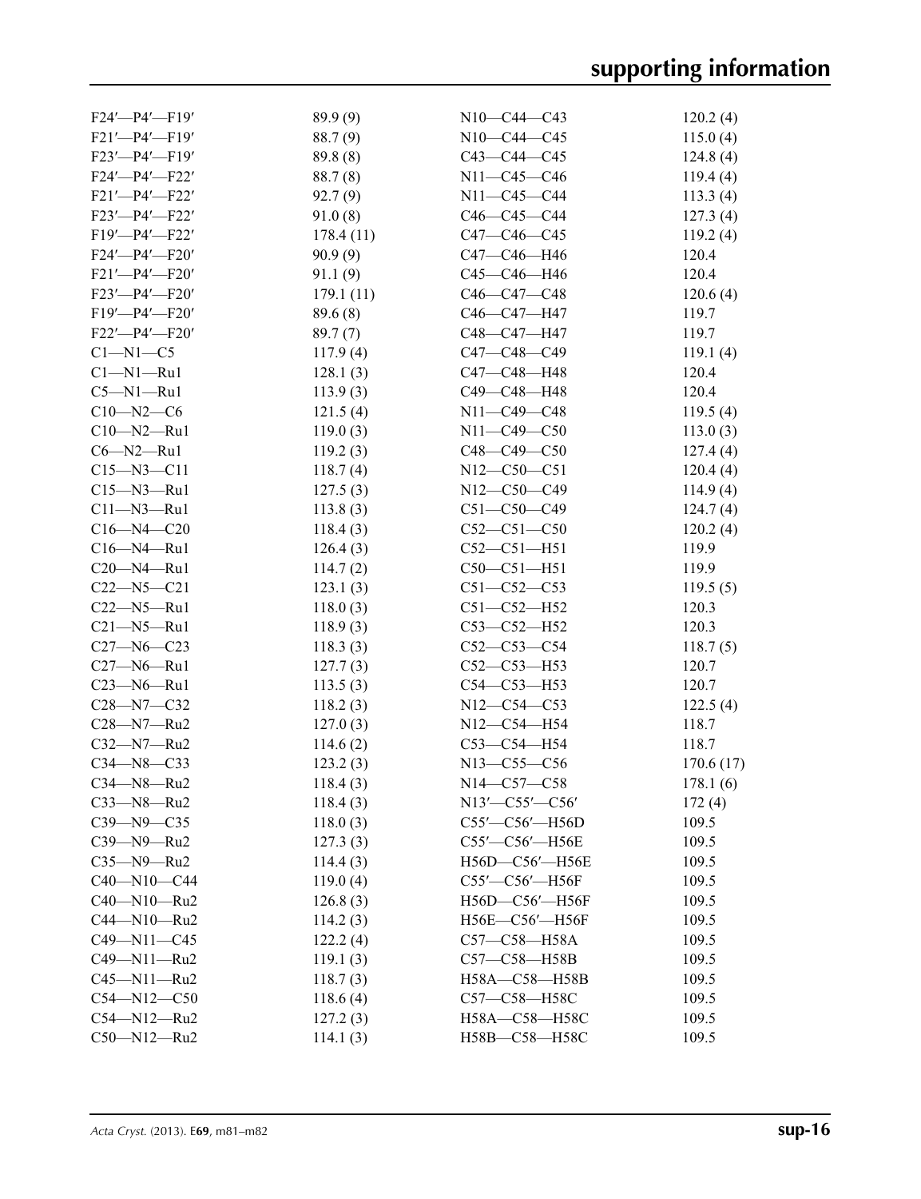| 89.9 (9)<br>N10-C44-C43<br>$F24'$ — $P4'$ — $F19'$<br>88.7(9)<br>N10-C44-C45<br>$F21'$ - $P4'$ - $F19'$<br>89.8 (8)<br>F23'-P4'-F19'<br>$C43 - C44 - C45$<br>$F24'$ - $P4'$ - $F22'$<br>88.7(8)<br>N11-C45-C46<br>92.7(9)<br>N11-C45-C44<br>$F21'$ - $P4'$ - $F22'$<br>91.0(8)<br>$F23'$ - $P4'$ - $F22'$<br>$C46-C45-C44$<br>$C47 - C46 - C45$<br>$F19'$ - $P4'$ - $F22'$<br>178.4(11)<br>$F24'$ - $P4'$ - $F20'$<br>90.9(9)<br>C47-C46-H46<br>120.4<br>91.1(9)<br>120.4<br>$F21'$ - $P4'$ - $F20'$<br>C45-C46-H46<br>179.1(11)<br>F23'-P4'-F20'<br>$C46 - C47 - C48$<br>$F19'$ - $P4'$ - $F20'$<br>89.6(8)<br>C46-C47-H47<br>119.7<br>89.7(7)<br>C48-C47-H47<br>119.7<br>$F22'$ -P4'-F20'<br>C47-C48-C49<br>$C1-M1-C5$<br>117.9(4)<br>$Cl-M1-Ru1$<br>C47-C48-H48<br>120.4<br>128.1(3)<br>$C5 - N1 - Ru1$<br>113.9(3)<br>C49-C48-H48<br>120.4<br>121.5(4)<br>$C10 - N2 - C6$<br>$N11 - C49 - C48$<br>119.5(4)<br>N11-C49-C50<br>$C10 - N2 - Ru1$<br>119.0(3)<br>113.0(3)<br>$C6 - N2 - Ru1$<br>119.2(3)<br>$C48 - C49 - C50$<br>127.4(4)<br>$N12 - C50 - C51$<br>$C15 - N3 - C11$<br>118.7(4)<br>120.4(4)<br>$C15 - N3 - Ru1$<br>N12-C50-C49<br>127.5(3)<br>114.9(4)<br>$C11 - N3 - Ru1$<br>113.8(3)<br>$C51 - C50 - C49$<br>124.7(4)<br>$C16 - N4 - C20$<br>118.4(3)<br>$C52-C51-C50$<br>120.2(4)<br>$C52 - C51 - H51$<br>119.9<br>$C16 - N4 - Ru1$<br>126.4(3)<br>$C20 - N4 - Ru1$<br>$C50-C51-H51$<br>119.9<br>114.7(2)<br>$C22 - N5 - C21$<br>123.1(3)<br>$C51 - C52 - C53$<br>$C22 - N5 - Ru1$<br>$C51 - C52 - H52$<br>120.3<br>118.0(3)<br>$C21 - N5 - Ru1$<br>$C53 - C52 - H52$<br>120.3<br>118.9(3)<br>$C27 - N6 - C23$<br>118.3(3)<br>$C52 - C53 - C54$<br>$C27 - N6 - Ru1$<br>$C52-C53-H53$<br>120.7<br>127.7(3)<br>$C23 - N6 - Ru1$<br>C54-C53-H53<br>120.7<br>113.5(3)<br>N12-C54-C53<br>$C28 - N7 - C32$<br>118.2(3)<br>N12-C54-H54<br>118.7<br>$C28 - N7 - Ru2$<br>127.0(3)<br>$C32 - N7 - Ru2$<br>$C53-C54-H54$<br>118.7<br>114.6(2)<br>$C34 - N8 - C33$<br>123.2(3)<br>N13-C55-C56<br>$C34 - N8 - Ru2$<br>118.4(3)<br>N14-C57-C58<br>$C33$ — $N8$ — $Ru2$<br>118.4(3)<br>$N13'$ - $C55'$ - $C56'$<br>C39-N9-C35<br>109.5<br>118.0(3)<br>C55'-C56'-H56D<br>C39-N9-Ru2<br>C55'-C56'-H56E<br>127.3(3)<br>109.5<br>$C35 - N9 - Ru2$<br>109.5<br>114.4(3)<br>H56D-C56'-H56E<br>$C40 - N10 - C44$<br>109.5<br>119.0(4)<br>$C55'$ — $C56'$ —H56F<br>C40-N10-Ru2<br>126.8(3)<br>H56D-C56'-H56F<br>109.5<br>C44-N10-Ru2<br>109.5<br>114.2(3)<br>H56E-C56'-H56F<br>$C49 - N11 - C45$<br>122.2(4)<br>C57-C58-H58A<br>109.5<br>C49-N11-Ru2<br>C57-C58-H58B<br>119.1(3)<br>109.5<br>C45-N11-Ru2<br>109.5<br>118.7(3)<br>H58A-C58-H58B<br>$C54 - N12 - C50$<br>109.5<br>118.6(4)<br>C57-C58-H58C<br>109.5<br>$C54 - N12 - Ru2$<br>127.2(3)<br>H58A-C58-H58C |             |          |               |           |
|----------------------------------------------------------------------------------------------------------------------------------------------------------------------------------------------------------------------------------------------------------------------------------------------------------------------------------------------------------------------------------------------------------------------------------------------------------------------------------------------------------------------------------------------------------------------------------------------------------------------------------------------------------------------------------------------------------------------------------------------------------------------------------------------------------------------------------------------------------------------------------------------------------------------------------------------------------------------------------------------------------------------------------------------------------------------------------------------------------------------------------------------------------------------------------------------------------------------------------------------------------------------------------------------------------------------------------------------------------------------------------------------------------------------------------------------------------------------------------------------------------------------------------------------------------------------------------------------------------------------------------------------------------------------------------------------------------------------------------------------------------------------------------------------------------------------------------------------------------------------------------------------------------------------------------------------------------------------------------------------------------------------------------------------------------------------------------------------------------------------------------------------------------------------------------------------------------------------------------------------------------------------------------------------------------------------------------------------------------------------------------------------------------------------------------------------------------------------------------------------------------------------------------------------------------------------------------------------------------------------------------------------------------------------------------------------------------------------------------------------------------------|-------------|----------|---------------|-----------|
|                                                                                                                                                                                                                                                                                                                                                                                                                                                                                                                                                                                                                                                                                                                                                                                                                                                                                                                                                                                                                                                                                                                                                                                                                                                                                                                                                                                                                                                                                                                                                                                                                                                                                                                                                                                                                                                                                                                                                                                                                                                                                                                                                                                                                                                                                                                                                                                                                                                                                                                                                                                                                                                                                                                                                                |             |          |               | 120.2(4)  |
|                                                                                                                                                                                                                                                                                                                                                                                                                                                                                                                                                                                                                                                                                                                                                                                                                                                                                                                                                                                                                                                                                                                                                                                                                                                                                                                                                                                                                                                                                                                                                                                                                                                                                                                                                                                                                                                                                                                                                                                                                                                                                                                                                                                                                                                                                                                                                                                                                                                                                                                                                                                                                                                                                                                                                                |             |          |               | 115.0(4)  |
|                                                                                                                                                                                                                                                                                                                                                                                                                                                                                                                                                                                                                                                                                                                                                                                                                                                                                                                                                                                                                                                                                                                                                                                                                                                                                                                                                                                                                                                                                                                                                                                                                                                                                                                                                                                                                                                                                                                                                                                                                                                                                                                                                                                                                                                                                                                                                                                                                                                                                                                                                                                                                                                                                                                                                                |             |          |               | 124.8(4)  |
|                                                                                                                                                                                                                                                                                                                                                                                                                                                                                                                                                                                                                                                                                                                                                                                                                                                                                                                                                                                                                                                                                                                                                                                                                                                                                                                                                                                                                                                                                                                                                                                                                                                                                                                                                                                                                                                                                                                                                                                                                                                                                                                                                                                                                                                                                                                                                                                                                                                                                                                                                                                                                                                                                                                                                                |             |          |               | 119.4(4)  |
|                                                                                                                                                                                                                                                                                                                                                                                                                                                                                                                                                                                                                                                                                                                                                                                                                                                                                                                                                                                                                                                                                                                                                                                                                                                                                                                                                                                                                                                                                                                                                                                                                                                                                                                                                                                                                                                                                                                                                                                                                                                                                                                                                                                                                                                                                                                                                                                                                                                                                                                                                                                                                                                                                                                                                                |             |          |               | 113.3(4)  |
|                                                                                                                                                                                                                                                                                                                                                                                                                                                                                                                                                                                                                                                                                                                                                                                                                                                                                                                                                                                                                                                                                                                                                                                                                                                                                                                                                                                                                                                                                                                                                                                                                                                                                                                                                                                                                                                                                                                                                                                                                                                                                                                                                                                                                                                                                                                                                                                                                                                                                                                                                                                                                                                                                                                                                                |             |          |               | 127.3(4)  |
|                                                                                                                                                                                                                                                                                                                                                                                                                                                                                                                                                                                                                                                                                                                                                                                                                                                                                                                                                                                                                                                                                                                                                                                                                                                                                                                                                                                                                                                                                                                                                                                                                                                                                                                                                                                                                                                                                                                                                                                                                                                                                                                                                                                                                                                                                                                                                                                                                                                                                                                                                                                                                                                                                                                                                                |             |          |               | 119.2(4)  |
|                                                                                                                                                                                                                                                                                                                                                                                                                                                                                                                                                                                                                                                                                                                                                                                                                                                                                                                                                                                                                                                                                                                                                                                                                                                                                                                                                                                                                                                                                                                                                                                                                                                                                                                                                                                                                                                                                                                                                                                                                                                                                                                                                                                                                                                                                                                                                                                                                                                                                                                                                                                                                                                                                                                                                                |             |          |               |           |
|                                                                                                                                                                                                                                                                                                                                                                                                                                                                                                                                                                                                                                                                                                                                                                                                                                                                                                                                                                                                                                                                                                                                                                                                                                                                                                                                                                                                                                                                                                                                                                                                                                                                                                                                                                                                                                                                                                                                                                                                                                                                                                                                                                                                                                                                                                                                                                                                                                                                                                                                                                                                                                                                                                                                                                |             |          |               |           |
|                                                                                                                                                                                                                                                                                                                                                                                                                                                                                                                                                                                                                                                                                                                                                                                                                                                                                                                                                                                                                                                                                                                                                                                                                                                                                                                                                                                                                                                                                                                                                                                                                                                                                                                                                                                                                                                                                                                                                                                                                                                                                                                                                                                                                                                                                                                                                                                                                                                                                                                                                                                                                                                                                                                                                                |             |          |               | 120.6(4)  |
|                                                                                                                                                                                                                                                                                                                                                                                                                                                                                                                                                                                                                                                                                                                                                                                                                                                                                                                                                                                                                                                                                                                                                                                                                                                                                                                                                                                                                                                                                                                                                                                                                                                                                                                                                                                                                                                                                                                                                                                                                                                                                                                                                                                                                                                                                                                                                                                                                                                                                                                                                                                                                                                                                                                                                                |             |          |               |           |
|                                                                                                                                                                                                                                                                                                                                                                                                                                                                                                                                                                                                                                                                                                                                                                                                                                                                                                                                                                                                                                                                                                                                                                                                                                                                                                                                                                                                                                                                                                                                                                                                                                                                                                                                                                                                                                                                                                                                                                                                                                                                                                                                                                                                                                                                                                                                                                                                                                                                                                                                                                                                                                                                                                                                                                |             |          |               |           |
|                                                                                                                                                                                                                                                                                                                                                                                                                                                                                                                                                                                                                                                                                                                                                                                                                                                                                                                                                                                                                                                                                                                                                                                                                                                                                                                                                                                                                                                                                                                                                                                                                                                                                                                                                                                                                                                                                                                                                                                                                                                                                                                                                                                                                                                                                                                                                                                                                                                                                                                                                                                                                                                                                                                                                                |             |          |               | 119.1(4)  |
|                                                                                                                                                                                                                                                                                                                                                                                                                                                                                                                                                                                                                                                                                                                                                                                                                                                                                                                                                                                                                                                                                                                                                                                                                                                                                                                                                                                                                                                                                                                                                                                                                                                                                                                                                                                                                                                                                                                                                                                                                                                                                                                                                                                                                                                                                                                                                                                                                                                                                                                                                                                                                                                                                                                                                                |             |          |               |           |
|                                                                                                                                                                                                                                                                                                                                                                                                                                                                                                                                                                                                                                                                                                                                                                                                                                                                                                                                                                                                                                                                                                                                                                                                                                                                                                                                                                                                                                                                                                                                                                                                                                                                                                                                                                                                                                                                                                                                                                                                                                                                                                                                                                                                                                                                                                                                                                                                                                                                                                                                                                                                                                                                                                                                                                |             |          |               |           |
|                                                                                                                                                                                                                                                                                                                                                                                                                                                                                                                                                                                                                                                                                                                                                                                                                                                                                                                                                                                                                                                                                                                                                                                                                                                                                                                                                                                                                                                                                                                                                                                                                                                                                                                                                                                                                                                                                                                                                                                                                                                                                                                                                                                                                                                                                                                                                                                                                                                                                                                                                                                                                                                                                                                                                                |             |          |               |           |
|                                                                                                                                                                                                                                                                                                                                                                                                                                                                                                                                                                                                                                                                                                                                                                                                                                                                                                                                                                                                                                                                                                                                                                                                                                                                                                                                                                                                                                                                                                                                                                                                                                                                                                                                                                                                                                                                                                                                                                                                                                                                                                                                                                                                                                                                                                                                                                                                                                                                                                                                                                                                                                                                                                                                                                |             |          |               |           |
|                                                                                                                                                                                                                                                                                                                                                                                                                                                                                                                                                                                                                                                                                                                                                                                                                                                                                                                                                                                                                                                                                                                                                                                                                                                                                                                                                                                                                                                                                                                                                                                                                                                                                                                                                                                                                                                                                                                                                                                                                                                                                                                                                                                                                                                                                                                                                                                                                                                                                                                                                                                                                                                                                                                                                                |             |          |               |           |
|                                                                                                                                                                                                                                                                                                                                                                                                                                                                                                                                                                                                                                                                                                                                                                                                                                                                                                                                                                                                                                                                                                                                                                                                                                                                                                                                                                                                                                                                                                                                                                                                                                                                                                                                                                                                                                                                                                                                                                                                                                                                                                                                                                                                                                                                                                                                                                                                                                                                                                                                                                                                                                                                                                                                                                |             |          |               |           |
|                                                                                                                                                                                                                                                                                                                                                                                                                                                                                                                                                                                                                                                                                                                                                                                                                                                                                                                                                                                                                                                                                                                                                                                                                                                                                                                                                                                                                                                                                                                                                                                                                                                                                                                                                                                                                                                                                                                                                                                                                                                                                                                                                                                                                                                                                                                                                                                                                                                                                                                                                                                                                                                                                                                                                                |             |          |               |           |
|                                                                                                                                                                                                                                                                                                                                                                                                                                                                                                                                                                                                                                                                                                                                                                                                                                                                                                                                                                                                                                                                                                                                                                                                                                                                                                                                                                                                                                                                                                                                                                                                                                                                                                                                                                                                                                                                                                                                                                                                                                                                                                                                                                                                                                                                                                                                                                                                                                                                                                                                                                                                                                                                                                                                                                |             |          |               |           |
|                                                                                                                                                                                                                                                                                                                                                                                                                                                                                                                                                                                                                                                                                                                                                                                                                                                                                                                                                                                                                                                                                                                                                                                                                                                                                                                                                                                                                                                                                                                                                                                                                                                                                                                                                                                                                                                                                                                                                                                                                                                                                                                                                                                                                                                                                                                                                                                                                                                                                                                                                                                                                                                                                                                                                                |             |          |               |           |
|                                                                                                                                                                                                                                                                                                                                                                                                                                                                                                                                                                                                                                                                                                                                                                                                                                                                                                                                                                                                                                                                                                                                                                                                                                                                                                                                                                                                                                                                                                                                                                                                                                                                                                                                                                                                                                                                                                                                                                                                                                                                                                                                                                                                                                                                                                                                                                                                                                                                                                                                                                                                                                                                                                                                                                |             |          |               |           |
|                                                                                                                                                                                                                                                                                                                                                                                                                                                                                                                                                                                                                                                                                                                                                                                                                                                                                                                                                                                                                                                                                                                                                                                                                                                                                                                                                                                                                                                                                                                                                                                                                                                                                                                                                                                                                                                                                                                                                                                                                                                                                                                                                                                                                                                                                                                                                                                                                                                                                                                                                                                                                                                                                                                                                                |             |          |               |           |
|                                                                                                                                                                                                                                                                                                                                                                                                                                                                                                                                                                                                                                                                                                                                                                                                                                                                                                                                                                                                                                                                                                                                                                                                                                                                                                                                                                                                                                                                                                                                                                                                                                                                                                                                                                                                                                                                                                                                                                                                                                                                                                                                                                                                                                                                                                                                                                                                                                                                                                                                                                                                                                                                                                                                                                |             |          |               |           |
|                                                                                                                                                                                                                                                                                                                                                                                                                                                                                                                                                                                                                                                                                                                                                                                                                                                                                                                                                                                                                                                                                                                                                                                                                                                                                                                                                                                                                                                                                                                                                                                                                                                                                                                                                                                                                                                                                                                                                                                                                                                                                                                                                                                                                                                                                                                                                                                                                                                                                                                                                                                                                                                                                                                                                                |             |          |               | 119.5(5)  |
|                                                                                                                                                                                                                                                                                                                                                                                                                                                                                                                                                                                                                                                                                                                                                                                                                                                                                                                                                                                                                                                                                                                                                                                                                                                                                                                                                                                                                                                                                                                                                                                                                                                                                                                                                                                                                                                                                                                                                                                                                                                                                                                                                                                                                                                                                                                                                                                                                                                                                                                                                                                                                                                                                                                                                                |             |          |               |           |
|                                                                                                                                                                                                                                                                                                                                                                                                                                                                                                                                                                                                                                                                                                                                                                                                                                                                                                                                                                                                                                                                                                                                                                                                                                                                                                                                                                                                                                                                                                                                                                                                                                                                                                                                                                                                                                                                                                                                                                                                                                                                                                                                                                                                                                                                                                                                                                                                                                                                                                                                                                                                                                                                                                                                                                |             |          |               |           |
|                                                                                                                                                                                                                                                                                                                                                                                                                                                                                                                                                                                                                                                                                                                                                                                                                                                                                                                                                                                                                                                                                                                                                                                                                                                                                                                                                                                                                                                                                                                                                                                                                                                                                                                                                                                                                                                                                                                                                                                                                                                                                                                                                                                                                                                                                                                                                                                                                                                                                                                                                                                                                                                                                                                                                                |             |          |               | 118.7(5)  |
|                                                                                                                                                                                                                                                                                                                                                                                                                                                                                                                                                                                                                                                                                                                                                                                                                                                                                                                                                                                                                                                                                                                                                                                                                                                                                                                                                                                                                                                                                                                                                                                                                                                                                                                                                                                                                                                                                                                                                                                                                                                                                                                                                                                                                                                                                                                                                                                                                                                                                                                                                                                                                                                                                                                                                                |             |          |               |           |
|                                                                                                                                                                                                                                                                                                                                                                                                                                                                                                                                                                                                                                                                                                                                                                                                                                                                                                                                                                                                                                                                                                                                                                                                                                                                                                                                                                                                                                                                                                                                                                                                                                                                                                                                                                                                                                                                                                                                                                                                                                                                                                                                                                                                                                                                                                                                                                                                                                                                                                                                                                                                                                                                                                                                                                |             |          |               |           |
|                                                                                                                                                                                                                                                                                                                                                                                                                                                                                                                                                                                                                                                                                                                                                                                                                                                                                                                                                                                                                                                                                                                                                                                                                                                                                                                                                                                                                                                                                                                                                                                                                                                                                                                                                                                                                                                                                                                                                                                                                                                                                                                                                                                                                                                                                                                                                                                                                                                                                                                                                                                                                                                                                                                                                                |             |          |               | 122.5(4)  |
|                                                                                                                                                                                                                                                                                                                                                                                                                                                                                                                                                                                                                                                                                                                                                                                                                                                                                                                                                                                                                                                                                                                                                                                                                                                                                                                                                                                                                                                                                                                                                                                                                                                                                                                                                                                                                                                                                                                                                                                                                                                                                                                                                                                                                                                                                                                                                                                                                                                                                                                                                                                                                                                                                                                                                                |             |          |               |           |
|                                                                                                                                                                                                                                                                                                                                                                                                                                                                                                                                                                                                                                                                                                                                                                                                                                                                                                                                                                                                                                                                                                                                                                                                                                                                                                                                                                                                                                                                                                                                                                                                                                                                                                                                                                                                                                                                                                                                                                                                                                                                                                                                                                                                                                                                                                                                                                                                                                                                                                                                                                                                                                                                                                                                                                |             |          |               |           |
|                                                                                                                                                                                                                                                                                                                                                                                                                                                                                                                                                                                                                                                                                                                                                                                                                                                                                                                                                                                                                                                                                                                                                                                                                                                                                                                                                                                                                                                                                                                                                                                                                                                                                                                                                                                                                                                                                                                                                                                                                                                                                                                                                                                                                                                                                                                                                                                                                                                                                                                                                                                                                                                                                                                                                                |             |          |               | 170.6(17) |
|                                                                                                                                                                                                                                                                                                                                                                                                                                                                                                                                                                                                                                                                                                                                                                                                                                                                                                                                                                                                                                                                                                                                                                                                                                                                                                                                                                                                                                                                                                                                                                                                                                                                                                                                                                                                                                                                                                                                                                                                                                                                                                                                                                                                                                                                                                                                                                                                                                                                                                                                                                                                                                                                                                                                                                |             |          |               | 178.1(6)  |
|                                                                                                                                                                                                                                                                                                                                                                                                                                                                                                                                                                                                                                                                                                                                                                                                                                                                                                                                                                                                                                                                                                                                                                                                                                                                                                                                                                                                                                                                                                                                                                                                                                                                                                                                                                                                                                                                                                                                                                                                                                                                                                                                                                                                                                                                                                                                                                                                                                                                                                                                                                                                                                                                                                                                                                |             |          |               | 172(4)    |
|                                                                                                                                                                                                                                                                                                                                                                                                                                                                                                                                                                                                                                                                                                                                                                                                                                                                                                                                                                                                                                                                                                                                                                                                                                                                                                                                                                                                                                                                                                                                                                                                                                                                                                                                                                                                                                                                                                                                                                                                                                                                                                                                                                                                                                                                                                                                                                                                                                                                                                                                                                                                                                                                                                                                                                |             |          |               |           |
|                                                                                                                                                                                                                                                                                                                                                                                                                                                                                                                                                                                                                                                                                                                                                                                                                                                                                                                                                                                                                                                                                                                                                                                                                                                                                                                                                                                                                                                                                                                                                                                                                                                                                                                                                                                                                                                                                                                                                                                                                                                                                                                                                                                                                                                                                                                                                                                                                                                                                                                                                                                                                                                                                                                                                                |             |          |               |           |
|                                                                                                                                                                                                                                                                                                                                                                                                                                                                                                                                                                                                                                                                                                                                                                                                                                                                                                                                                                                                                                                                                                                                                                                                                                                                                                                                                                                                                                                                                                                                                                                                                                                                                                                                                                                                                                                                                                                                                                                                                                                                                                                                                                                                                                                                                                                                                                                                                                                                                                                                                                                                                                                                                                                                                                |             |          |               |           |
|                                                                                                                                                                                                                                                                                                                                                                                                                                                                                                                                                                                                                                                                                                                                                                                                                                                                                                                                                                                                                                                                                                                                                                                                                                                                                                                                                                                                                                                                                                                                                                                                                                                                                                                                                                                                                                                                                                                                                                                                                                                                                                                                                                                                                                                                                                                                                                                                                                                                                                                                                                                                                                                                                                                                                                |             |          |               |           |
|                                                                                                                                                                                                                                                                                                                                                                                                                                                                                                                                                                                                                                                                                                                                                                                                                                                                                                                                                                                                                                                                                                                                                                                                                                                                                                                                                                                                                                                                                                                                                                                                                                                                                                                                                                                                                                                                                                                                                                                                                                                                                                                                                                                                                                                                                                                                                                                                                                                                                                                                                                                                                                                                                                                                                                |             |          |               |           |
|                                                                                                                                                                                                                                                                                                                                                                                                                                                                                                                                                                                                                                                                                                                                                                                                                                                                                                                                                                                                                                                                                                                                                                                                                                                                                                                                                                                                                                                                                                                                                                                                                                                                                                                                                                                                                                                                                                                                                                                                                                                                                                                                                                                                                                                                                                                                                                                                                                                                                                                                                                                                                                                                                                                                                                |             |          |               |           |
|                                                                                                                                                                                                                                                                                                                                                                                                                                                                                                                                                                                                                                                                                                                                                                                                                                                                                                                                                                                                                                                                                                                                                                                                                                                                                                                                                                                                                                                                                                                                                                                                                                                                                                                                                                                                                                                                                                                                                                                                                                                                                                                                                                                                                                                                                                                                                                                                                                                                                                                                                                                                                                                                                                                                                                |             |          |               |           |
|                                                                                                                                                                                                                                                                                                                                                                                                                                                                                                                                                                                                                                                                                                                                                                                                                                                                                                                                                                                                                                                                                                                                                                                                                                                                                                                                                                                                                                                                                                                                                                                                                                                                                                                                                                                                                                                                                                                                                                                                                                                                                                                                                                                                                                                                                                                                                                                                                                                                                                                                                                                                                                                                                                                                                                |             |          |               |           |
|                                                                                                                                                                                                                                                                                                                                                                                                                                                                                                                                                                                                                                                                                                                                                                                                                                                                                                                                                                                                                                                                                                                                                                                                                                                                                                                                                                                                                                                                                                                                                                                                                                                                                                                                                                                                                                                                                                                                                                                                                                                                                                                                                                                                                                                                                                                                                                                                                                                                                                                                                                                                                                                                                                                                                                |             |          |               |           |
|                                                                                                                                                                                                                                                                                                                                                                                                                                                                                                                                                                                                                                                                                                                                                                                                                                                                                                                                                                                                                                                                                                                                                                                                                                                                                                                                                                                                                                                                                                                                                                                                                                                                                                                                                                                                                                                                                                                                                                                                                                                                                                                                                                                                                                                                                                                                                                                                                                                                                                                                                                                                                                                                                                                                                                |             |          |               |           |
|                                                                                                                                                                                                                                                                                                                                                                                                                                                                                                                                                                                                                                                                                                                                                                                                                                                                                                                                                                                                                                                                                                                                                                                                                                                                                                                                                                                                                                                                                                                                                                                                                                                                                                                                                                                                                                                                                                                                                                                                                                                                                                                                                                                                                                                                                                                                                                                                                                                                                                                                                                                                                                                                                                                                                                |             |          |               |           |
|                                                                                                                                                                                                                                                                                                                                                                                                                                                                                                                                                                                                                                                                                                                                                                                                                                                                                                                                                                                                                                                                                                                                                                                                                                                                                                                                                                                                                                                                                                                                                                                                                                                                                                                                                                                                                                                                                                                                                                                                                                                                                                                                                                                                                                                                                                                                                                                                                                                                                                                                                                                                                                                                                                                                                                | C50-N12-Ru2 | 114.1(3) | H58B-C58-H58C | 109.5     |